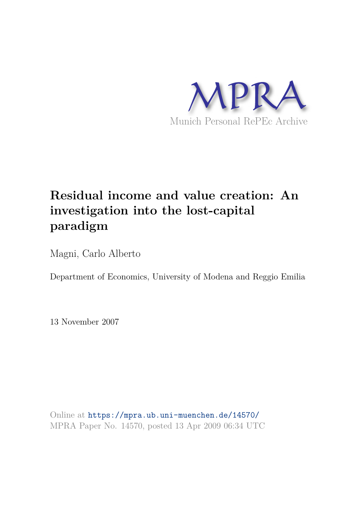

# **Residual income and value creation: An investigation into the lost-capital paradigm**

Magni, Carlo Alberto

Department of Economics, University of Modena and Reggio Emilia

13 November 2007

Online at https://mpra.ub.uni-muenchen.de/14570/ MPRA Paper No. 14570, posted 13 Apr 2009 06:34 UTC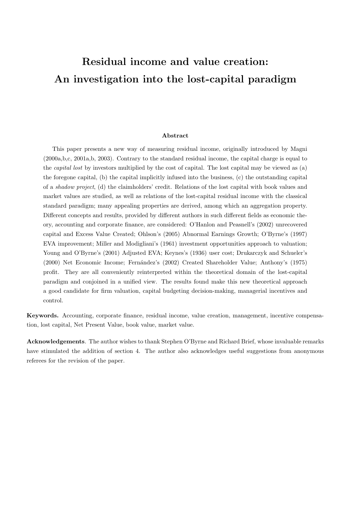# Residual income and value creation: An investigation into the lost-capital paradigm

#### Abstract

This paper presents a new way of measuring residual income, originally introduced by Magni (2000a,b,c, 2001a,b, 2003). Contrary to the standard residual income, the capital charge is equal to the capital lost by investors multiplied by the cost of capital. The lost capital may be viewed as (a) the foregone capital, (b) the capital implicitly infused into the business, (c) the outstanding capital of a shadow project, (d) the claimholders' credit. Relations of the lost capital with book values and market values are studied, as well as relations of the lost-capital residual income with the classical standard paradigm; many appealing properties are derived, among which an aggregation property. Different concepts and results, provided by different authors in such different fields as economic theory, accounting and corporate finance, are considered: O'Hanlon and Peasnell's (2002) unrecovered capital and Excess Value Created; Ohlson's (2005) Abnormal Earnings Growth; O'Byrne's (1997) EVA improvement; Miller and Modigliani's (1961) investment opportunities approach to valuation; Young and O'Byrne's (2001) Adjusted EVA; Keynes's (1936) user cost; Drukarczyk and Schueler's (2000) Net Economic Income; Fern´andez's (2002) Created Shareholder Value; Anthony's (1975) profit. They are all conveniently reinterpreted within the theoretical domain of the lost-capital paradigm and conjoined in a unified view. The results found make this new theoretical approach a good candidate for firm valuation, capital budgeting decision-making, managerial incentives and control.

Keywords. Accounting, corporate finance, residual income, value creation, management, incentive compensation, lost capital, Net Present Value, book value, market value.

Acknowledgements. The author wishes to thank Stephen O'Byrne and Richard Brief, whose invaluable remarks have stimulated the addition of section 4. The author also acknowledges useful suggestions from anonymous referees for the revision of the paper.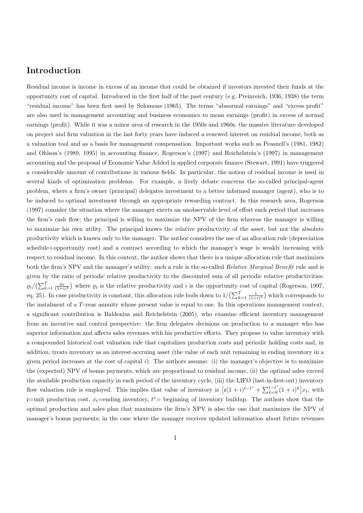## Introduction

Residual income is income in excess of an income that could be obtained if investors invested their funds at the opportunity cost of capital. Introduced in the first half of the past century (e.g. Preinreich, 1936, 1938) the term "residual income" has been first used by Solomons (1965). The terms "abnormal earnings" and "excess profit" are also used in management accounting and business economics to mean earnings (profit) in excess of normal earnings (profit). While it was a minor area of research in the 1950s and 1960s, the massive literature developed on project and firm valuation in the last forty years have induced a renewed interest on residual income, both as a valuation tool and as a basis for management compensation. Important works such as Peasnell's (1981, 1982) and Ohlson's (1989, 1995) in accounting finance, Rogerson's (1997) and Reichelstein's (1997) in management accounting and the proposal of Economic Value Added in applied corporate finance (Stewart, 1991) have triggered a considerable amount of contributions in various fields. In particular, the notion of residual income is used in several kinds of optimization problems. For example, a lively debate concerns the so-called principal-agent problem, where a firm's owner (principal) delegates investment to a better informed manager (agent), who is to be induced to optimal investment through an appropriate rewarding contract. In this research area, Rogerson (1997) consider the situation where the manager exerts an unobservable level of effort each period that increases the firm's cash flow; the principal is willing to maximize the NPV of the firm whereas the manager is willing to maximize his own utility. The principal knows the relative productivity of the asset, but not the absolute productivity which is known only to the manager. The author considers the use of an allocation rule (depreciation schedule+opportunity cost) and a contract according to which the manager's wage is weakly increasing with respect to residual income. In this context, the author shows that there is a unique allocation rule that maximizes both the firm's NPV and the manager's utility: such a rule is the so-called Relative Marginal Benefit rule and is given by the ratio of periodic relative productivity to the discounted sum of all periodic relative productivities:  $\varrho_t/\left(\sum_{k=1}^T \frac{\varrho_k}{(1+i)^k}\right)$  where  $\varrho_t$  is the relative productivity and i is the opportunity cost of capital (Rogerson, 1997, eq. 25). In case productivity is constant, this allocation rule boils down to  $1/(\sum_{k=1}^{T} \frac{1}{(1+i)^k})$  which corresponds to the instalment of a T-year annuity whose present value is equal to one. In this operations management context, a significant contribution is Baldenius and Reichelstein (2005), who examine efficient inventory management from an incentive and control perspective: the firm delegates decisions on production to a manager who has superior information and affects sales revenues with his productive efforts. They propose to value inventory with a compounded historical cost valuation rule that capitalizes production costs and periodic holding costs and, in addition, treats inventory as an interest-accruing asset (the value of each unit remaining in ending inventory in a given period increases at the cost of capital  $i$ ). The authors assume: (i) the manager's objective is to maximize the (expected) NPV of bonus payments, which are proportional to residual income, (ii) the optimal sales exceed the available production capacity in each period of the inventory cycle, (iii) the LIFO (last-in-first-out) inventory flow valuation rule is employed. This implies that value of inventory is  $\left[ \mathfrak{c}(1+i)^{t-t^*} + \sum_{k=0}^{t-t^*} (1+i)^k \right] x_t$ , with  $\mathfrak{c}$ =unit production cost,  $x_t$ =ending inventory,  $t^*$ = beginning of inventory buildup. The authors show that the optimal production and sales plan that maximizes the firm's NPV is also the one that maximizes the NPV of manager's bonus payments; in the case where the manager receives updated information about future revenues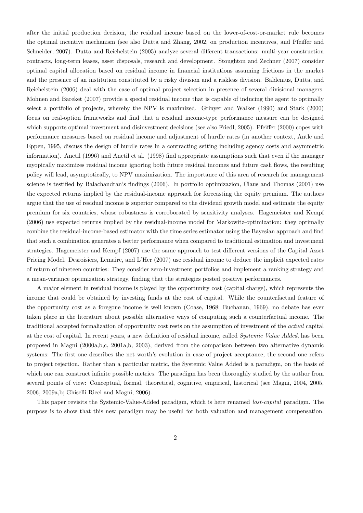after the initial production decision, the residual income based on the lower-of-cost-or-market rule becomes the optimal incentive mechanism (see also Dutta and Zhang, 2002, on production incentives, and Pfeiffer and Schneider, 2007). Dutta and Reichelstein (2005) analyze several different transactions: multi-year construction contracts, long-term leases, asset disposals, research and development. Stoughton and Zechner (2007) consider optimal capital allocation based on residual income in financial institutions assuming frictions in the market and the presence of an institution constituted by a risky division and a riskless division. Baldenius, Dutta, and Reichelstein (2006) deal with the case of optimal project selection in presence of several divisional managers. Mohnen and Bareket (2007) provide a special residual income that is capable of inducing the agent to optimally select a portfolio of projects, whereby the NPV is maximized. Grinyer and Walker (1990) and Stark (2000) focus on real-option frameworks and find that a residual income-type performance measure can be designed which supports optimal investment and disinvestment decisions (see also Friedl, 2005). Pfeiffer (2000) copes with performance measures based on residual income and adjustment of hurdle rates (in another context, Antle and Eppen, 1995, discuss the design of hurdle rates in a contracting setting including agency costs and asymmetric information). Anctil (1996) and Anctil et al. (1998) find appropriate assumptions such that even if the manager myopically maximizes residual income ignoring both future residual incomes and future cash flows, the resulting policy will lead, asymptotically, to NPV maximization. The importance of this area of research for management science is testified by Balachandran's findings (2006). In portfolio optimizazion, Claus and Thomas (2001) use the expected returns implied by the residual-income approach for forecasting the equity premium. The authors argue that the use of residual income is superior compared to the dividend growth model and estimate the equity premium for six countries, whose robustness is corroborated by sensitivity analyses. Hagemeister and Kempf (2006) use expected returns implied by the residual-income model for Markowitz-optimization: they optimally combine the residual-income-based estimator with the time series estimator using the Bayesian approach and find that such a combination generates a better performance when compared to traditional estimation and investment strategies. Hagemeister and Kempf (2007) use the same approach to test different versions of the Capital Asset Pricing Model. Desroisiers, Lemaire, and L'Her (2007) use residual income to deduce the implicit expected rates of return of nineteen countries: They consider zero-investment portfolios and implement a ranking strategy and a mean-variance optimization strategy, finding that the strategies posted positive performances.

A major element in residual income is played by the opportunity cost (capital charge), which represents the income that could be obtained by investing funds at the cost of capital. While the counterfactual feature of the opportunity cost as a foregone income is well known (Coase, 1968; Buchanan, 1969), no debate has ever taken place in the literature about possible alternative ways of computing such a counterfactual income. The traditional accepted formalization of opportunity cost rests on the assumption of investment of the actual capital at the cost of capital. In recent years, a new definition of residual income, called Systemic Value Added, has been proposed in Magni (2000a,b,c, 2001a,b, 2003), derived from the comparison between two alternative dynamic systems: The first one describes the net worth's evolution in case of project acceptance, the second one refers to project rejection. Rather than a particular metric, the Systemic Value Added is a paradigm, on the basis of which one can construct infinite possible metrics. The paradigm has been thoroughly studied by the author from several points of view: Conceptual, formal, theoretical, cognitive, empirical, historical (see Magni, 2004, 2005, 2006, 2009a,b; Ghiselli Ricci and Magni, 2006).

This paper revisits the Systemic-Value-Added paradigm, which is here renamed lost-capital paradigm. The purpose is to show that this new paradigm may be useful for both valuation and management compensation,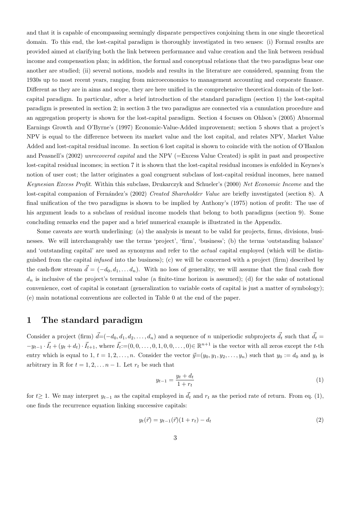and that it is capable of encompassing seemingly disparate perspectives conjoining them in one single theoretical domain. To this end, the lost-capital paradigm is thoroughly investigated in two senses: (i) Formal results are provided aimed at clarifying both the link between performance and value creation and the link between residual income and compensation plan; in addition, the formal and conceptual relations that the two paradigms bear one another are studied; (ii) several notions, models and results in the literature are considered, spanning from the 1930s up to most recent years, ranging from microeconomics to management accounting and corporate finance. Different as they are in aims and scope, they are here unified in the comprehensive theoretical domain of the lostcapital paradigm. In particular, after a brief introduction of the standard paradigm (section 1) the lost-capital paradigm is presented in section 2; in section 3 the two paradigms are connected via a cumulation procedure and an aggregation property is shown for the lost-capital paradigm. Section 4 focuses on Ohlson's (2005) Abnormal Earnings Growth and O'Byrne's (1997) Economic-Value-Added improvement; section 5 shows that a project's NPV is equal to the difference between its market value and the lost capital, and relates NPV, Market Value Added and lost-capital residual income. In section 6 lost capital is shown to coincide with the notion of O'Hanlon and Peasnell's (2002) unrecovered capital and the NPV (=Excess Value Created) is split in past and prospective lost-capital residual incomes; in section 7 it is shown that the lost-capital residual incomes is enfolded in Keynes's notion of user cost; the latter originates a goal congruent subclass of lost-capital residual incomes, here named Keynesian Excess Profit. Within this subclass, Drukarczyk and Schueler's (2000) Net Economic Income and the lost-capital companion of Fernández's (2002) Created Shareholder Value are briefly investigated (section 8). A final unification of the two paradigms is shown to be implied by Anthony's (1975) notion of profit: The use of his argument leads to a subclass of residual income models that belong to both paradigms (section 9). Some concluding remarks end the paper and a brief numerical example is illustrated in the Appendix.

Some caveats are worth underlining: (a) the analysis is meant to be valid for projects, firms, divisions, businesses. We will interchangeably use the terms 'project', 'firm', 'business'; (b) the terms 'outstanding balance' and 'outstanding capital' are used as synonyms and refer to the actual capital employed (which will be distinguished from the capital *infused* into the business); (c) we will be concerned with a project (firm) described by the cash-flow stream  $\vec{d} = (-d_0, d_1, \ldots d_n)$ . With no loss of generality, we will assume that the final cash flow  $d_n$  is inclusive of the project's terminal value (a finite-time horizon is assumed); (d) for the sake of notational convenience, cost of capital is constant (generalization to variable costs of capital is just a matter of symbology); (e) main notational conventions are collected in Table 0 at the end of the paper.

#### 1 The standard paradigm

Consider a project (firm)  $\vec{d} = (-d_0, d_1, d_2, \ldots, d_n)$  and a sequence of n uniperiodic subprojects  $\vec{d}_t$  such that  $\vec{d}_t =$  $-y_{t-1} \cdot \vec{I}_t + (y_t + d_t) \cdot \vec{I}_{t+1}$ , where  $\vec{I}_t := (0, 0, \ldots, 0, 1, 0, 0, \ldots, 0) \in \mathbb{R}^{n+1}$  is the vector with all zeros except the t-th entry which is equal to 1,  $t = 1, 2, ..., n$ . Consider the vector  $\vec{y}=(y_0, y_1, y_2, ..., y_n)$  such that  $y_0 := d_0$  and  $y_t$  is arbitrary in  $\mathbb R$  for  $t = 1, 2, \ldots n-1$ . Let  $r_t$  be such that

$$
y_{t-1} = \frac{y_t + d_t}{1 + r_t} \tag{1}
$$

for  $t≥ 1$ . We may interpret  $y_{t-1}$  as the capital employed in  $\vec{d}_t$  and  $r_t$  as the period rate of return. From eq. (1), one finds the recurrence equation linking successive capitals:

$$
y_t(\vec{r}) = y_{t-1}(\vec{r})(1+r_t) - d_t \tag{2}
$$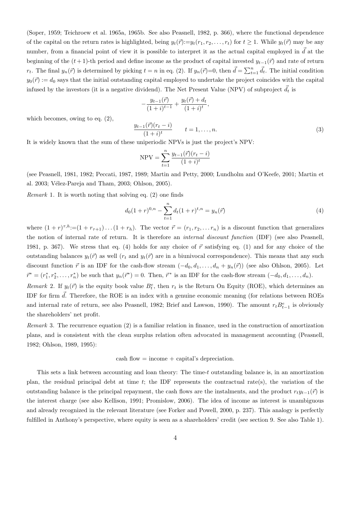(Soper, 1959; Teichroew et al. 1965a, 1965b. See also Peasnell, 1982, p. 366), where the functional dependence of the capital on the return rates is highlighted, being  $y_t(\vec{r}) := y_t(r_1, r_2, \ldots, r_t)$  for  $t \ge 1$ . While  $y_t(\vec{r})$  may be any number, from a financial point of view it is possible to interpret it as the actual capital employed in  $\vec{d}$  at the beginning of the  $(t + 1)$ -th period and define income as the product of capital invested  $y_{t-1}(\vec{r})$  and rate of return  $r_t$ . The final  $y_n(\vec{r})$  is determined by picking  $t = n$  in eq. (2). If  $y_n(\vec{r}) = 0$ , then  $\vec{d} = \sum_{t=1}^n \vec{d}_t$ . The initial condition  $y_0(\vec{r}) := d_0$  says that the initial outstanding capital employed to undertake the project coincides with the capital infused by the investors (it is a negative dividend). The Net Present Value (NPV) of subproject  $\vec{d}_t$  is

$$
-\frac{y_{t-1}(\vec{r})}{(1+i)^{t-1}} + \frac{y_t(\vec{r}) + d_t}{(1+i)^t},
$$

which becomes, owing to eq. (2),

$$
\frac{y_{t-1}(\vec{r})(r_t - i)}{(1+i)^t} \qquad t = 1, \dots, n.
$$
 (3)

It is widely known that the sum of these uniperiodic NPVs is just the project's NPV:

$$
NPV = \sum_{t=1}^{n} \frac{y_{t-1}(\vec{r})(r_t - i)}{(1+i)^t}
$$

(see Peasnell, 1981, 1982; Peccati, 1987, 1989; Martin and Petty, 2000; Lundholm and O'Keefe, 2001; Martin et al. 2003; Vélez-Pareja and Tham, 2003; Ohlson, 2005).

Remark 1. It is worth noting that solving eq. (2) one finds

$$
d_0(1+r)^{0,n} - \sum_{t=1}^n d_t(1+r)^{t,n} = y_n(\vec{r})
$$
\n(4)

where  $(1 + r)^{\tau, h} := (1 + r_{\tau+1}) \dots (1 + r_h)$ . The vector  $\vec{r} = (r_1, r_2, \dots r_n)$  is a discount function that generalizes the notion of internal rate of return. It is therefore an internal discount function (IDF) (see also Peasnell, 1981, p. 367). We stress that eq. (4) holds for any choice of  $\vec{r}$  satisfying eq. (1) and for any choice of the outstanding balances  $y_t(\vec{r})$  as well  $(r_t$  and  $y_t(\vec{r})$  are in a biunivocal correspondence). This means that any such discount function  $\vec{r}$  is an IDF for the cash-flow stream  $(-d_0, d_1, \ldots, d_n + y_n(\vec{r}))$  (see also Ohlson, 2005). Let  $\vec{r}^* = (r_1^*, r_2^*, \ldots, r_n^*)$  be such that  $y_n(\vec{r}^*) = 0$ . Then,  $\vec{r}^*$  is an IDF for the cash-flow stream  $(-d_0, d_1, \ldots, d_n)$ .

Remark 2. If  $y_t(\vec{r})$  is the equity book value  $B_t^e$ , then  $r_t$  is the Return On Equity (ROE), which determines an IDF for firm  $\vec{d}$ . Therefore, the ROE is an index with a genuine economic meaning (for relations between ROEs and internal rate of return, see also Peasnell, 1982; Brief and Lawson, 1990). The amount  $r_t B_{t-1}^e$  is obviously the shareholders' net profit.

Remark 3. The recurrence equation (2) is a familiar relation in finance, used in the construction of amortization plans, and is consistent with the clean surplus relation often advocated in management accounting (Peasnell, 1982; Ohlson, 1989, 1995):

$$
cash flow = income + capital's depreciation.
$$

This sets a link between accounting and loan theory: The time-t outstanding balance is, in an amortization plan, the residual principal debt at time  $t$ ; the IDF represents the contractual rate(s), the variation of the outstanding balance is the principal repayment, the cash flows are the instalments, and the product  $r_t y_{t-1}(\vec{r})$  is the interest charge (see also Kellison, 1991; Promislow, 2006). The idea of income as interest is unambiguous and already recognized in the relevant literature (see Forker and Powell, 2000, p. 237). This analogy is perfectly fulfilled in Anthony's perspective, where equity is seen as a shareholders' credit (see section 9. See also Table 1).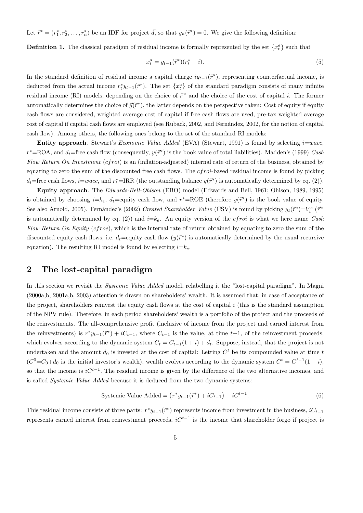Let  $\vec{r}^* = (r_1^*, r_2^*, \dots, r_n^*)$  be an IDF for project  $\vec{d}$ , so that  $y_n(\vec{r}^*) = 0$ . We give the following definition:

**Definition 1.** The classical paradigm of residual income is formally represented by the set  $\{x_t^a\}$  such that

$$
x_t^a = y_{t-1}(\vec{r}^*)(r_t^* - i). \tag{5}
$$

In the standard definition of residual income a capital charge  $iy_{t-1}(\vec{r}^*)$ , representing counterfactual income, is deducted from the actual income  $r_t^* y_{t-1}(\vec{r}^*)$ . The set  $\{x_t^a\}$  of the standard paradigm consists of many infinite residual income (RI) models, depending on the choice of  $\vec{r}^*$  and the choice of the cost of capital i. The former automatically determines the choice of  $\vec{y}(\vec{r}^*)$ , the latter depends on the perspective taken: Cost of equity if equity cash flows are considered, weighted average cost of capital if free cash flows are used, pre-tax weighted average cost of capital if capital cash flows are employed (see Ruback, 2002, and Fernández, 2002, for the notion of capital cash flow). Among others, the following ones belong to the set of the standard RI models:

Entity approach. Stewart's Economic Value Added (EVA) (Stewart, 1991) is found by selecting  $i=wacc$ ,  $r^*$ =ROA, and  $d_t$ =free cash flow (consequently,  $y(r^*)$  is the book value of total liabilities). Madden's (1999) Cash Flow Return On Investment (cfroi) is an (inflation-adjusted) internal rate of return of the business, obtained by equating to zero the sum of the discounted free cash flows. The  $c f roi$ -based residual income is found by picking  $d_t$ =free cash flows,  $i=wacc$ , and  $r_t^*$ =IRR (the outstanding balance  $y(\vec{r}^*)$  is automatically determined by eq. (2)).

Equity approach. The Edwards-Bell-Ohlson (EBO) model (Edwards and Bell, 1961; Ohlson, 1989, 1995) is obtained by choosing  $i=k_e$ ,  $d_t =$ equity cash flow, and  $r^* = \text{ROE}$  (therefore  $y(\vec{r}^*)$ ) is the book value of equity. See also Arnold, 2005). Fernández's (2002) Created Shareholder Value (CSV) is found by picking  $y_t(\vec{r}^*) = V_t^e(\vec{r}^*)$ is automatically determined by eq. (2)) and  $i=k_e$ . An equity version of the *cfroi* is what we here name Cash Flow Return On Equity (cfroe), which is the internal rate of return obtained by equating to zero the sum of the discounted equity cash flows, i.e.  $d_t =$ equity cash flow  $(y(\vec{r}^*))$  is automatically determined by the usual recursive equation). The resulting RI model is found by selecting  $i=k_e$ .

#### 2 The lost-capital paradigm

In this section we revisit the *Systemic Value Added* model, relabelling it the "lost-capital paradigm". In Magni (2000a,b, 2001a,b, 2003) attention is drawn on shareholders' wealth. It is assumed that, in case of acceptance of the project, shareholders reinvest the equity cash flows at the cost of capital  $i$  (this is the standard assumption of the NPV rule). Therefore, in each period shareholders' wealth is a portfolio of the project and the proceeds of the reinvestments. The all-comprehensive profit (inclusive of income from the project and earned interest from the reinvestments) is  $r^*y_{t-1}(\vec{r}^*) + iC_{t-1}$ , where  $C_{t-1}$  is the value, at time  $t-1$ , of the reinvestment proceeds, which evolves according to the dynamic system  $C_t = C_{t-1}(1+i) + d_t$ . Suppose, instead, that the project is not undertaken and the amount  $d_0$  is invested at the cost of capital: Letting  $C<sup>t</sup>$  be its compounded value at time t  $(C^0 = C_0 + d_0)$  is the initial investor's wealth), wealth evolves according to the dynamic system  $C^t = C^{t-1}(1+i)$ , so that the income is  $iC^{t-1}$ . The residual income is given by the difference of the two alternative incomes, and is called Systemic Value Added because it is deduced from the two dynamic systems:

$$
Systemic Value Added = (r^*y_{t-1}(\bar{r}^*) + iC_{t-1}) - iC^{t-1}.
$$
\n(6)

This residual income consists of three parts:  $r^*y_{t-1}(\bar{r}^*)$  represents income from investment in the business,  $iC_{t-1}$ represents earned interest from reinvestment proceeds,  $iC^{t-1}$  is the income that shareholder forgo if project is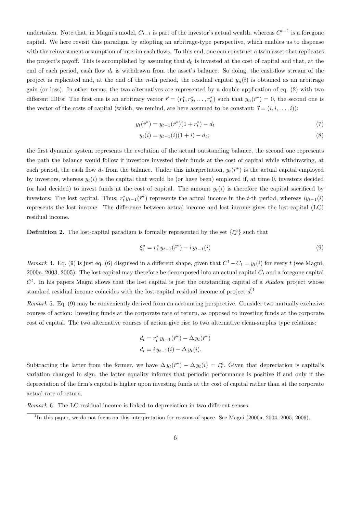undertaken. Note that, in Magni's model,  $C_{t-1}$  is part of the investor's actual wealth, whereas  $C^{t-1}$  is a foregone capital. We here revisit this paradigm by adopting an arbitrage-type perspective, which enables us to dispense with the reinvestment assumption of interim cash flows. To this end, one can construct a twin asset that replicates the project's payoff. This is accomplished by assuming that  $d_0$  is invested at the cost of capital and that, at the end of each period, cash flow  $d_t$  is withdrawn from the asset's balance. So doing, the cash-flow stream of the project is replicated and, at the end of the n-th period, the residual capital  $y_n(i)$  is obtained as an arbitrage gain (or loss). In other terms, the two alternatives are represented by a double application of eq. (2) with two different IDFs: The first one is an arbitrary vector  $\vec{r} = (r_1^*, r_2^*, \dots, r_n^*)$  such that  $y_n(\vec{r}^*) = 0$ , the second one is the vector of the costs of capital (which, we remind, are here assumed to be constant:  $\vec{i} = (i, i, \ldots, i)$ ):

$$
y_t(\vec{r}^*) = y_{t-1}(\vec{r}^*)(1 + r_t^*) - d_t \tag{7}
$$

$$
y_t(i) = y_{t-1}(i)(1+i) - d_t;
$$
\n(8)

the first dynamic system represents the evolution of the actual outstanding balance, the second one represents the path the balance would follow if investors invested their funds at the cost of capital while withdrawing, at each period, the cash flow  $d_t$  from the balance. Under this interpretation,  $y_t(\vec{r}^*)$  is the actual capital employed by investors, whereas  $y_t(i)$  is the capital that would be (or have been) employed if, at time 0, investors decided (or had decided) to invest funds at the cost of capital. The amount  $y_t(i)$  is therefore the capital sacrificed by investors: The lost capital. Thus,  $r_t^* y_{t-1}(\vec{r}^*)$  represents the actual income in the t-th period, whereas  $iy_{t-1}(i)$ represents the lost income. The difference between actual income and lost income gives the lost-capital (LC) residual income.

**Definition 2.** The lost-capital paradigm is formally represented by the set  $\{\xi_t^a\}$  such that

$$
\xi_t^a = r_t^* y_{t-1}(\vec{r}^*) - i y_{t-1}(i) \tag{9}
$$

Remark 4. Eq. (9) is just eq. (6) disguised in a different shape, given that  $C^t - C_t = y_t(i)$  for every t (see Magni, 2000a, 2003, 2005): The lost capital may therefore be decomposed into an actual capital  $C_t$  and a foregone capital  $C<sup>t</sup>$ . In his papers Magni shows that the lost capital is just the outstanding capital of a shadow project whose standard residual income coincides with the lost-capital residual income of project  $\vec{d}$ .<sup>1</sup>

Remark 5. Eq. (9) may be conveniently derived from an accounting perspective. Consider two mutually exclusive courses of action: Investing funds at the corporate rate of return, as opposed to investing funds at the corporate cost of capital. The two alternative courses of action give rise to two alternative clean-surplus type relations:

$$
d_t = r_t^* y_{t-1}(\bar{r}^*) - \Delta y_t(\bar{r}^*)
$$
  

$$
d_t = i y_{t-1}(i) - \Delta y_t(i).
$$

Subtracting the latter from the former, we have  $\Delta y_t(\vec{r}^*) - \Delta y_t(i) = \xi_t^a$ . Given that depreciation is capital's variation changed in sign, the latter equality informs that periodic performance is positive if and only if the depreciation of the firm's capital is higher upon investing funds at the cost of capital rather than at the corporate actual rate of return.

Remark 6. The LC residual income is linked to depreciation in two different senses:

<sup>&</sup>lt;sup>1</sup>In this paper, we do not focus on this interpretation for reasons of space. See Magni (2000a, 2004, 2005, 2006).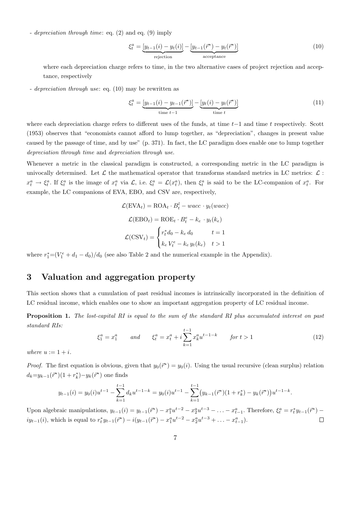- depreciation through time: eq. (2) and eq. (9) imply

$$
\xi_t^a = \underbrace{[y_{t-1}(i) - y_t(i)]}_{\text{rejection}} - \underbrace{[y_{t-1}(\vec{r}^*) - y_t(\vec{r}^*)]}_{\text{acceptance}}
$$
\n(10)

where each depreciation charge refers to time, in the two alternative cases of project rejection and acceptance, respectively

- depreciation through use: eq. (10) may be rewritten as

$$
\xi_t^a = \underbrace{[y_{t-1}(i) - y_{t-1}(\vec{r}^*)]}_{\text{time } t-1} - \underbrace{[y_t(i) - y_t(\vec{r}^*)]}_{\text{time } t}
$$
\n(11)

where each depreciation charge refers to different uses of the funds, at time  $t-1$  and time t respectively. Scott (1953) observes that "economists cannot afford to lump together, as "depreciation", changes in present value caused by the passage of time, and by use" (p. 371). In fact, the LC paradigm does enable one to lump together depreciation through time and depreciation through use.

Whenever a metric in the classical paradigm is constructed, a corresponding metric in the LC paradigm is univocally determined. Let  $\mathcal L$  the mathematical operator that transforms standard metrics in LC metrics:  $\mathcal L$ :  $x_t^a \to \xi_t^a$ . If  $\xi_t^a$  is the image of  $x_t^a$  via  $\mathcal{L}$ , i.e.  $\xi_t^a = \mathcal{L}(x_t^a)$ , then  $\xi_t^a$  is said to be the LC-companion of  $x_t^a$ . For example, the LC companions of EVA, EBO, and CSV are, respectively,

$$
\mathcal{L}(\text{EVA}_t) = \text{ROA}_t \cdot B_t^l - wacc \cdot y_t(wacc)
$$

$$
\mathcal{L}(\text{EBO}_t) = \text{ROE}_t \cdot B_t^e - k_e \cdot y_t(k_e)
$$

$$
\mathcal{L}(\text{CSV}_t) = \begin{cases} r_t^* d_0 - k_e d_0 & t = 1\\ k_e V_t^e - k_e y_t(k_e) & t > 1 \end{cases}
$$

where  $r_1^* = (V_1^e + d_1 - d_0)/d_0$  (see also Table 2 and the numerical example in the Appendix).

### 3 Valuation and aggregation property

This section shows that a cumulation of past residual incomes is intrinsically incorporated in the definition of LC residual income, which enables one to show an important aggregation property of LC residual income.

Proposition 1. The lost-capital RI is equal to the sum of the standard RI plus accumulated interest on past standard RIs:

$$
\xi_1^a = x_1^a \qquad and \qquad \xi_t^a = x_t^a + i \sum_{k=1}^{t-1} x_k^a u^{t-1-k} \qquad \text{for } t > 1 \tag{12}
$$

where  $u := 1 + i$ .

*Proof.* The first equation is obvious, given that  $y_0(\vec{r}^*) = y_0(i)$ . Using the usual recursive (clean surplus) relation  $d_k = y_{k-1}(\vec{r}^*)(1 + r_k^*) - y_k(\vec{r}^*)$  one finds

$$
y_{t-1}(i) = y_0(i)u^{t-1} - \sum_{k=1}^{t-1} d_k u^{t-1-k} = y_0(i)u^{t-1} - \sum_{k=1}^{t-1} (y_{k-1}(\bar{r}^*)(1+r_k^*) - y_k(\bar{r}^*))u^{t-1-k}.
$$

Upon algebraic manipulations,  $y_{t-1}(i) = y_{t-1}(\vec{r}^*) - x_1^a u^{t-2} - x_2^a u^{t-3} - \ldots - x_{t-1}^a$ . Therefore,  $\xi_t^a = r_t^* y_{t-1}(\vec{r}^*)$  $iy_{t-1}(i)$ , which is equal to  $r_t^* y_{t-1}(\bar{r}^*) - i(y_{t-1}(\bar{r}^*) - x_1^a u^{t-2} - x_2^a u^{t-3} + \ldots - x_{t-1}^a)$ .  $\Box$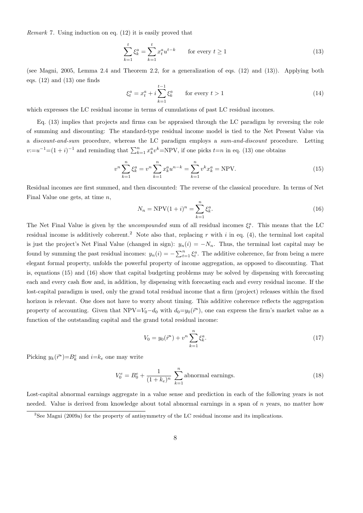Remark 7. Using induction on eq. (12) it is easily proved that

$$
\sum_{k=1}^{t} \xi_k^a = \sum_{k=1}^{t} x_t^a u^{t-k} \qquad \text{for every } t \ge 1
$$
\n
$$
(13)
$$

(see Magni, 2005, Lemma 2.4 and Theorem 2.2, for a generalization of eqs. (12) and (13)). Applying both eqs.  $(12)$  and  $(13)$  one finds

$$
\xi_t^a = x_t^a + i \sum_{k=1}^{t-1} \xi_k^a \qquad \text{for every } t > 1 \tag{14}
$$

which expresses the LC residual income in terms of cumulations of past LC residual incomes.

Eq. (13) implies that projects and firms can be appraised through the LC paradigm by reversing the role of summing and discounting: The standard-type residual income model is tied to the Net Present Value via a *discount-and-sum* procedure, whereas the LC paradigm employs a sum-and-discount procedure. Letting  $v:=u^{-1}=(1+i)^{-1}$  and reminding that  $\sum_{k=1}^{n} x_k^a v^k = NPV$ , if one picks  $t=n$  in eq. (13) one obtains

$$
v^{n} \sum_{k=1}^{n} \xi_{k}^{a} = v^{n} \sum_{k=1}^{n} x_{k}^{a} u^{n-k} = \sum_{k=1}^{n} v^{k} x_{k}^{a} = \text{NPV}.
$$
\n(15)

Residual incomes are first summed, and then discounted: The reverse of the classical procedure. In terms of Net Final Value one gets, at time  $n$ ,

$$
N_n = \text{NPV}(1+i)^n = \sum_{k=1}^n \xi_k^a.
$$
 (16)

The Net Final Value is given by the *uncompounded* sum of all residual incomes  $\xi_t^a$ . This means that the LC residual income is additively coherent.<sup>2</sup> Note also that, replacing r with i in eq. (4), the terminal lost capital is just the project's Net Final Value (changed in sign):  $y_n(i) = -N_n$ . Thus, the terminal lost capital may be found by summing the past residual incomes:  $y_n(i) = -\sum_{t=1}^n \xi_t^a$ . The additive coherence, far from being a mere elegant formal property, unfolds the powerful property of income aggregation, as opposed to discounting. That is, equations (15) and (16) show that capital budgeting problems may be solved by dispensing with forecasting each and every cash flow and, in addition, by dispensing with forecasting each and every residual income. If the lost-capital paradigm is used, only the grand total residual income that a firm (project) releases within the fixed horizon is relevant. One does not have to worry about timing. This additive coherence reflects the aggregation property of accounting. Given that  $NPV = V_0 - d_0$  with  $d_0 = y_0(\vec{r}^*)$ , one can express the firm's market value as a function of the outstanding capital and the grand total residual income:

$$
V_0 = y_0(\vec{r}^*) + v^n \sum_{k=1}^n \xi_k^a.
$$
\n(17)

Picking  $y_k(\vec{r}^*) = B_k^e$  and  $i = k_e$  one may write

$$
V_0^e = B_0^e + \frac{1}{(1 + k_e)^n} \sum_{k=1}^n \text{abnormal earnings.} \tag{18}
$$

Lost-capital abnormal earnings aggregate in a value sense and prediction in each of the following years is not needed. Value is derived from knowledge about total abnormal earnings in a span of  $n$  years, no matter how

<sup>2</sup>See Magni (2009a) for the property of antisymmetry of the LC residual income and its implications.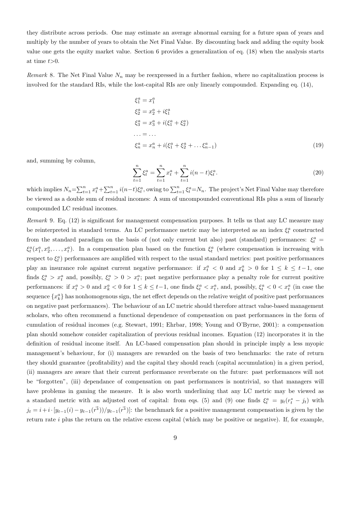they distribute across periods. One may estimate an average abnormal earning for a future span of years and multiply by the number of years to obtain the Net Final Value. By discounting back and adding the equity book value one gets the equity market value. Section 6 provides a generalization of eq. (18) when the analysis starts at time  $t>0$ .

Remark 8. The Net Final Value  $N_n$  may be reexpressed in a further fashion, where no capitalization process is involved for the standard RIs, while the lost-capital RIs are only linearly compounded. Expanding eq. (14),

$$
\xi_1^a = x_1^a
$$
  
\n
$$
\xi_2^a = x_2^a + i\xi_1^a
$$
  
\n
$$
\xi_3^a = x_3^a + i(\xi_1^a + \xi_2^a)
$$
  
\n... = ...  
\n
$$
\xi_n^a = x_n^a + i(\xi_1^a + \xi_2^a + \dots + \xi_{n-1}^a)
$$
\n(19)

and, summing by column,

$$
\sum_{t=1}^{n} \xi_t^a = \sum_{t=1}^{n} x_t^a + \sum_{t=1}^{n} i(n-t) \xi_t^a.
$$
\n(20)

which implies  $N_n = \sum_{t=1}^n x_t^a + \sum_{t=1}^n i(n-t)\xi_t^a$ , owing to  $\sum_{t=1}^n \xi_t^a = N_n$ . The project's Net Final Value may therefore be viewed as a double sum of residual incomes: A sum of uncompounded conventional RIs plus a sum of linearly compounded LC residual incomes.

Remark 9. Eq. (12) is significant for management compensation purposes. It tells us that any LC measure may be reinterpreted in standard terms. An LC performance metric may be interpreted as an index  $\xi_t^a$  constructed from the standard paradigm on the basis of (not only current but also) past (standard) performances:  $\xi_t^a$  =  $\xi_t^a(x_1^a, x_2^a, \ldots, x_t^a)$ . In a compensation plan based on the function  $\xi_t^a$  (where compensation is increasing with respect to  $\xi_t^a$ ) performances are amplified with respect to the usual standard metrics: past positive performances play an insurance role against current negative performance: if  $x_t^a < 0$  and  $x_k^a > 0$  for  $1 \leq k \leq t-1$ , one finds  $\xi_t^a > x_t^a$  and, possibly,  $\xi_t^a > 0 > x_t^a$ ; past negative performance play a penalty role for current positive performances: if  $x_t^a > 0$  and  $x_k^a < 0$  for  $1 \leq k \leq t-1$ , one finds  $\xi_t^a < x_t^a$ , and, possibly,  $\xi_t^a < 0 < x_t^a$  (in case the sequence  $\{x_k^a\}$  has nonhomogenous sign, the net effect depends on the relative weight of positive past performances on negative past performances). The behaviour of an LC metric should therefore attract value-based management scholars, who often recommend a functional dependence of compensation on past performances in the form of cumulation of residual incomes (e.g. Stewart, 1991; Ehrbar, 1998; Young and O'Byrne, 2001): a compensation plan should somehow consider capitalization of previous residual incomes. Equation (12) incorporates it in the definition of residual income itself. An LC-based compensation plan should in principle imply a less myopic management's behaviour, for (i) managers are rewarded on the basis of two benchmarks: the rate of return they should guarantee (profitability) and the capital they should reach (capital accumulation) in a given period, (ii) managers are aware that their current performance reverberate on the future: past performances will not be "forgotten", (iii) dependance of compensation on past performances is nontrivial, so that managers will have problems in gaming the measure. It is also worth underlining that any LC metric may be viewed as a standard metric with an adjusted cost of capital: from eqs. (5) and (9) one finds  $\xi_t^a = y_t(r_t^* - j_t)$  with  $j_t = i + i \cdot [y_{t-1}(i) - y_{t-1}(r^*))/y_{t-1}(r^*)]$ : the benchmark for a positive management compensation is given by the return rate  $i$  plus the return on the relative excess capital (which may be positive or negative). If, for example,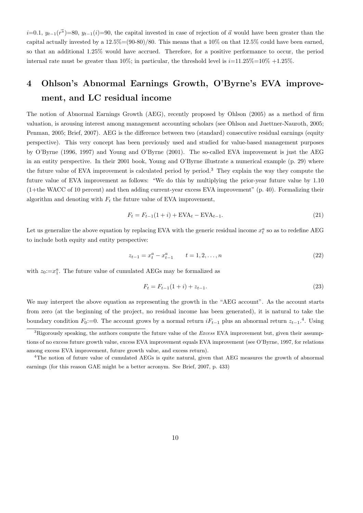$i=0.1$ ,  $y_{t-1}(\vec{r})=80$ ,  $y_{t-1}(i)=90$ , the capital invested in case of rejection of  $\vec{a}$  would have been greater than the capital actually invested by a  $12.5\% = (90-80)/80$ . This means that a  $10\%$  on that  $12.5\%$  could have been earned, so that an additional 1.25% would have accrued. Therefore, for a positive performance to occur, the period internal rate must be greater than 10%; in particular, the threshold level is  $i=11.25\% = 10\% +1.25\%$ .

# 4 Ohlson's Abnormal Earnings Growth, O'Byrne's EVA improvement, and LC residual income

The notion of Abnormal Earnings Growth (AEG), recently proposed by Ohlson (2005) as a method of firm valuation, is arousing interest among management accounting scholars (see Ohlson and Juettner-Nauroth, 2005; Penman, 2005; Brief, 2007). AEG is the difference between two (standard) consecutive residual earnings (equity perspective). This very concept has been previously used and studied for value-based management purposes by O'Byrne (1996, 1997) and Young and O'Byrne (2001). The so-called EVA improvement is just the AEG in an entity perspective. In their 2001 book, Young and O'Byrne illustrate a numerical example (p. 29) where the future value of EVA improvement is calculated period by period.<sup>3</sup> They explain the way they compute the future value of EVA improvement as follows: "We do this by multiplying the prior-year future value by 1.10 (1+the WACC of 10 percent) and then adding current-year excess EVA improvement" (p. 40). Formalizing their algorithm and denoting with  $F_t$  the future value of EVA improvement,

$$
F_t = F_{t-1}(1+i) + \text{EVA}_t - \text{EVA}_{t-1}.
$$
\n(21)

Let us generalize the above equation by replacing EVA with the generic residual income  $x_t^a$  so as to redefine AEG to include both equity and entity perspective:

$$
z_{t-1} = x_t^a - x_{t-1}^a \qquad t = 1, 2, \dots, n
$$
\n<sup>(22)</sup>

with  $z_0:=x_1^a$ . The future value of cumulated AEGs may be formalized as

$$
F_t = F_{t-1}(1+i) + z_{t-1}.
$$
\n(23)

We may interpret the above equation as representing the growth in the "AEG account". As the account starts from zero (at the beginning of the project, no residual income has been generated), it is natural to take the boundary condition  $F_0:=0$ . The account grows by a normal return  $iF_{t-1}$  plus an abnormal return  $z_{t-1}$ .<sup>4</sup>. Using

 ${}^{3}$ Rigorously speaking, the authors compute the future value of the *Excess* EVA improvement but, given their assumptions of no excess future growth value, excess EVA improvement equals EVA improvement (see O'Byrne, 1997, for relations among excess EVA improvement, future growth value, and excess return).

<sup>4</sup>The notion of future value of cumulated AEGs is quite natural, given that AEG measures the growth of abnormal earnings (for this reason GAE might be a better acronym. See Brief, 2007, p. 433)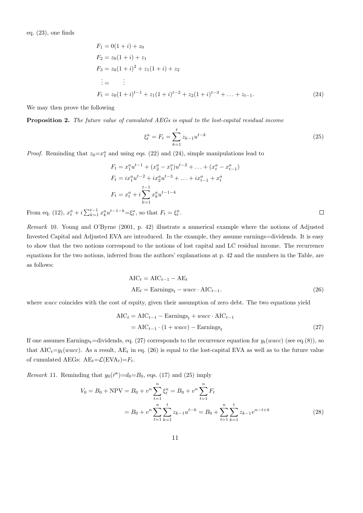$$
F_1 = 0(1 + i) + z_0
$$
  
\n
$$
F_2 = z_0(1 + i) + z_1
$$
  
\n
$$
F_3 = z_0(1 + i)^2 + z_1(1 + i) + z_2
$$
  
\n
$$
\vdots = \vdots
$$
  
\n
$$
F_t = z_0(1 + i)^{t-1} + z_1(1 + i)^{t-2} + z_2(1 + i)^{t-3} + \dots + z_{t-1}.
$$
\n(24)

We may then prove the following

Proposition 2. The future value of cumulated AEGs is equal to the lost-capital residual income

$$
\xi_t^a = F_t = \sum_{k=1}^t z_{k-1} u^{t-k}
$$
\n(25)

*Proof.* Reminding that  $z_0 = x_1^a$  and using eqs. (22) and (24), simple manipulations lead to

$$
F_t = x_1^a u^{t-1} + (x_2^a - x_1^a) u^{t-2} + \dots + (x_t^a - x_{t-1}^a)
$$
  
\n
$$
F_t = ix_1^a u^{t-2} + ix_2^a u^{t-3} + \dots + ix_{t-1}^a + x_t^a
$$
  
\n
$$
F_t = x_t^a + i \sum_{k=1}^{t-1} x_k^a u^{t-1-k}
$$
  
\n
$$
t^{-1-k} = \xi_t^a
$$
, so that  $F_t = \xi_t^a$ .

From eq. (12),  $x_t^a + i \sum_{k=1}^{t-1} x_k^a u^{t-1-k} = \xi_t^a$ , so that  $F_t = \xi_t^a$ .

Remark 10. Young and O'Byrne (2001, p. 42) illustrate a numerical example where the notions of Adjusted Invested Capital and Adjusted EVA are introduced. In the example, they assume earnings=dividends. It is easy to show that the two notions correspond to the notions of lost capital and LC residual income. The recurrence equations for the two notions, inferred from the authors' explanations at p. 42 and the numbers in the Table, are as follows:

$$
AIC_t = AIC_{t-1} - AE_t
$$
  
\n
$$
AE_t = Earning_s_t - wacc \cdot AIC_{t-1}.
$$
\n(26)

where wacc coincides with the cost of equity, given their assumption of zero debt. The two equations yield

$$
AIC_t = AIC_{t-1} - Earning_s_t + wacc \cdot AIC_{t-1}
$$
  
= AIC\_{t-1} \cdot (1 + wacc) - Earning\_s\_t (27)

If one assumes Earnings<sub>t</sub>=dividends, eq. (27) corresponds to the recurrence equation for  $y_t(wacc)$  (see eq.(8)), so that  $AIC_t=y_t(wacc)$ . As a result,  $AE_t$  in eq. (26) is equal to the lost-capital EVA as well as to the future value of cumulated AEGs:  $AE_t = \mathcal{L}(EVA_t) = F_t$ .

*Remark* 11. Reminding that  $y_0(\vec{r}^*)=d_0=B_0$ , eqs. (17) and (25) imply

$$
V_0 = B_0 + \text{NPV} = B_0 + v^n \sum_{t=1}^n \xi_t^a = B_0 + v^n \sum_{t=1}^n F_t
$$
  
=  $B_0 + v^n \sum_{t=1}^n \sum_{k=1}^t z_{k-1} u^{t-k} = B_0 + \sum_{t=1}^n \sum_{k=1}^t z_{k-1} v^{n-t+k}$  (28)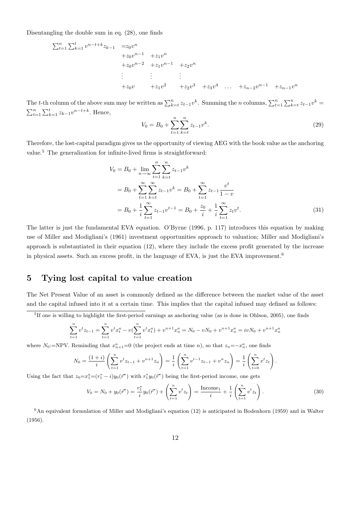Disentangling the double sum in eq. (28), one finds

$$
\sum_{t=1}^{n} \sum_{k=1}^{t} v^{n-t+k} z_{k-1} = z_0 v^n
$$
  
+ $z_0 v^{n-1}$  + $z_1 v^n$   
+ $z_0 v^{n-2}$  + $z_1 v^{n-1}$  + $z_2 v^n$   
 $\vdots$   $\vdots$   
+ $z_0 v$  + $z_1 v^2$  + $z_2 v^3$  + $z_3 v^4$  ... + $z_{n-2} v^{n-1}$  + $z_{n-1} v^n$ 

The t-th column of the above sum may be written as  $\sum_{k=t}^{n} z_{t-1}v^k$ . Summing the n columns,  $\sum_{t=1}^{n} \sum_{k=t}^{n} z_{t-1}v^k =$  $\sum_{t=1}^{n} \sum_{k=1}^{t} z_{k-1} v^{n-t+k}$ . Hence,

$$
V_0 = B_0 + \sum_{t=1}^n \sum_{k=t}^n z_{t-1} v^k.
$$
\n(29)

Therefore, the lost-capital paradigm gives us the opportunity of viewing AEG with the book value as the anchoring value.<sup>5</sup> The generalization for infinite-lived firms is straightforward:

$$
V_0 = B_0 + \lim_{n \to \infty} \sum_{t=1}^n \sum_{k=t}^n z_{t-1} v^k
$$
  
=  $B_0 + \sum_{t=1}^{\infty} \sum_{k=t}^{\infty} z_{t-1} v^k = B_0 + \sum_{t=1}^{\infty} z_{t-1} \frac{v^t}{1-v}$   
=  $B_0 + \frac{1}{i} \sum_{t=1}^{\infty} z_{t-1} v^{t-1} = B_0 + \frac{z_0}{i} + \frac{1}{i} \sum_{t=1}^{\infty} z_t v^t.$  (31)

The latter is just the fundamental EVA equation. O'Byrne (1996, p. 117) introduces this equation by making use of Miller and Modigliani's (1961) investment opportunities approach to valuation; Miller and Modigliani's approach is substantiated in their equation (12), where they include the excess profit generated by the increase in physical assets. Such an excess profit, in the language of EVA, is just the EVA improvement.<sup>6</sup>

## 5 Tying lost capital to value creation

The Net Present Value of an asset is commonly defined as the difference between the market value of the asset and the capital infused into it at a certain time. This implies that the capital infused may defined as follows:

<sup>5</sup>If one is willing to highlight the first-period earnings as anchoring value (as is done in Ohlson, 2005), one finds

$$
\sum_{t=1}^{n} v^{t} z_{t-1} = \sum_{t=1}^{n} v^{t} x_{t}^{a} - v \left( \sum_{t=1}^{n} v^{t} x_{t}^{a} \right) + v^{n+1} x_{n}^{a} = N_{0} - v N_{0} + v^{n+1} x_{n}^{a} = iv N_{0} + v^{n+1} x_{n}^{a}
$$

where N<sub>0</sub>:=NPV. Reminding that  $x_{n+1}^a = 0$  (the project ends at time n), so that  $z_n = -x_n^a$ , one finds

$$
N_0 = \frac{(1+i)}{i} \left( \sum_{t=1}^n v^t z_{t-1} + v^{n+1} z_n \right) = \frac{1}{i} \left( \sum_{t=1}^n v^{t-1} z_{t-1} + v^n z_n \right) = \frac{1}{i} \left( \sum_{t=0}^n v^t z_t \right).
$$

Using the fact that  $z_0 = x_1^a = (r_1^* - i)y_0(\vec{r}^*)$  with  $r_1^*y_0(\vec{r}^*)$  being the first-period income, one gets

$$
V_0 = N_0 + y_0(\vec{r}^*) = \frac{r_1^*}{i}y_0(\vec{r}^*) + \left(\sum_{t=1}^n v^t z_t\right) = \frac{\text{Income}_1}{i} + \frac{1}{i}\left(\sum_{t=1}^n v^t z_t\right). \tag{30}
$$

 $6$ An equivalent formulation of Miller and Modigliani's equation (12) is anticipated in Bodenhorn (1959) and in Walter (1956).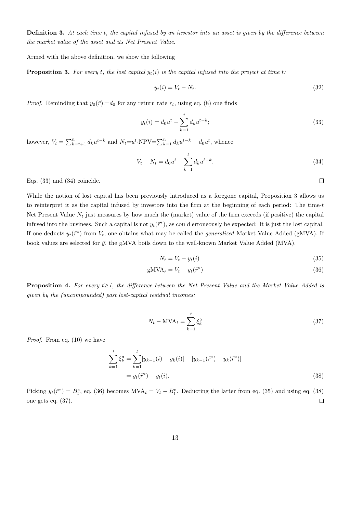**Definition 3.** At each time t, the capital infused by an investor into an asset is given by the difference between the market value of the asset and its Net Present Value.

Armed with the above definition, we show the following

**Proposition 3.** For every t, the lost capital  $y_t(i)$  is the capital infused into the project at time t:

$$
y_t(i) = V_t - N_t. \tag{32}
$$

*Proof.* Reminding that  $y_0(\vec{r}) := d_0$  for any return rate  $r_t$ , using eq. (8) one finds

$$
y_t(i) = d_0 u^t - \sum_{k=1}^t d_k u^{t-k};
$$
\n(33)

however,  $V_t = \sum_{k=t+1}^{n} d_k u^{t-k}$  and  $N_t = u^t \cdot NPV = \sum_{k=1}^{n} d_k u^{t-k} - d_0 u^t$ , whence

$$
V_t - N_t = d_0 u^t - \sum_{k=1}^t d_k u^{t-k}.
$$
\n(34)

 $\Box$ 

Eqs. (33) and (34) coincide.

While the notion of lost capital has been previously introduced as a foregone capital, Proposition 3 allows us to reinterpret it as the capital infused by investors into the firm at the beginning of each period: The time-t Net Present Value  $N_t$  just measures by how much the (market) value of the firm exceeds (if positive) the capital infused into the business. Such a capital is not  $y_t(\vec{r}^*)$ , as could erroneously be expected: It is just the lost capital. If one deducts  $y_t(\vec{r}^*)$  from  $V_t$ , one obtains what may be called the *generalized* Market Value Added (gMVA). If book values are selected for  $\vec{y}$ , the gMVA boils down to the well-known Market Value Added (MVA).

$$
N_t = V_t - y_t(i) \tag{35}
$$

$$
gMVA_t = V_t - y_t(\vec{r}^*)
$$
\n(36)

**Proposition 4.** For every  $t \geq 1$ , the difference between the Net Present Value and the Market Value Added is given by the (uncompounded) past lost-capital residual incomes:

$$
N_t - \text{MVA}_t = \sum_{k=1}^t \xi_k^a \tag{37}
$$

Proof. From eq. (10) we have

$$
\sum_{k=1}^{t} \xi_k^a = \sum_{k=1}^{t} [y_{k-1}(i) - y_k(i)] - [y_{k-1}(\bar{r}^*) - y_k(\bar{r}^*)]
$$
  
=  $y_t(\bar{r}^*) - y_t(i)$ . (38)

Picking  $y_t(\vec{r}^*) = B_t^e$ , eq. (36) becomes MVA<sub>t</sub> =  $V_t - B_t^e$ . Deducting the latter from eq. (35) and using eq. (38) one gets eq. (37).  $\Box$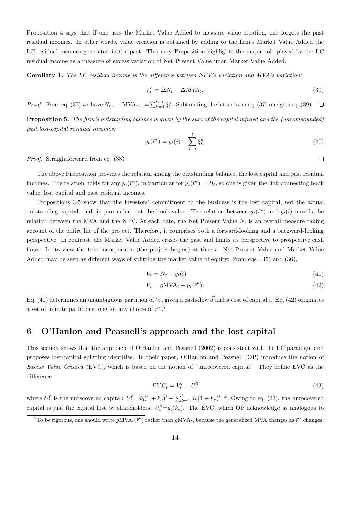Proposition 4 says that if one uses the Market Value Added to measure value creation, one forgets the past residual incomes. In other words, value creation is obtained by adding to the firm's Market Value Added the LC residual incomes generated in the past. This very Proposition highlights the major role played by the LC residual income as a measure of excess variation of Net Present Value upon Market Value Added.

Corollary 1. The LC residual income is the difference between NPV's variation and MVA's variation:

$$
\xi_t^a = \Delta N_t - \Delta M V A_t. \tag{39}
$$

*Proof.* From eq. (37) we have  $N_{t-1}-MVA_{t-1} = \sum_{k=1}^{t-1} \xi_k^a$ . Subtracting the latter from eq. (37) one gets eq. (39).

Proposition 5. The firm's outstanding balance is given by the sum of the capital infused and the (uncompounded) past lost-capital residual incomes:

$$
y_t(\vec{r}^*) = y_t(i) + \sum_{k=1}^t \xi_k^a.
$$
 (40)

Proof. Straightforward from eq. (38)

The above Proposition provides the relation among the outstanding balance, the lost capital and past residual incomes. The relation holds for any  $y_t(\vec{r}^*)$ , in particular for  $y_t(\vec{r}^*) = B_t$ , so one is given the link connecting book value, lost capital and past residual incomes.

Propositions 3-5 show that the investors' commitment to the business is the lost capital, not the actual outstanding capital, and, in particular, not the book value. The relation between  $y_t(\vec{r}^*)$  and  $y_t(i)$  unveils the relation between the MVA and the NPV. At each date, the Net Present Value  $N_t$  is an overall measure taking account of the entire life of the project. Therefore, it comprises both a forward-looking and a backward-looking perspective. In contrast, the Market Value Added erases the past and limits its perspective to prospective cash flows: In its view the firm incorporates (the project begins) at time  $t$ . Net Present Value and Market Value Added may be seen as different ways of splitting the market value of equity: From eqs. (35) and (36),

$$
V_t = N_t + y_t(i) \tag{41}
$$

$$
V_t = g\text{MVA}_t + y_t(\vec{r}^*). \tag{42}
$$

Eq. (41) determines an unambiguous partition of  $V_t$ , given a cash-flow  $\vec{d}$  and a cost of capital i. Eq. (42) originates a set of infinite partitions, one for any choice of  $\vec{r}^*$ .<sup>7</sup>

#### 6 O'Hanlon and Peasnell's approach and the lost capital

This section shows that the approach of O'Hanlon and Peasnell (2002) is consistent with the LC paradigm and proposes lost-capital splitting identities. In their paper, O'Hanlon and Peasnell (OP) introduce the notion of Excess Value Created (EVC), which is based on the notion of "unrecovered capital". They define EVC as the difference

$$
EVC_t = V_t^e - U_t^0 \tag{43}
$$

where  $U_t^0$  is the unrecovered capital:  $U_t^0 = d_0(1 + k_e)^t - \sum_{k=1}^t d_k(1 + k_e)^{t-k}$ . Owing to eq. (33), the unrecovered capital is just the capital lost by shareholders:  $U_t^0=y_t(k_e)$ . The EVC, which OP acknowledge as analogous to

 $\Box$ 

<sup>&</sup>lt;sup>7</sup>To be rigorous, one should write  $gMVA_t(\vec{r}^*)$  rather than  $gMVA_t$ , because the generalized MVA changes as  $\vec{r}^*$  changes.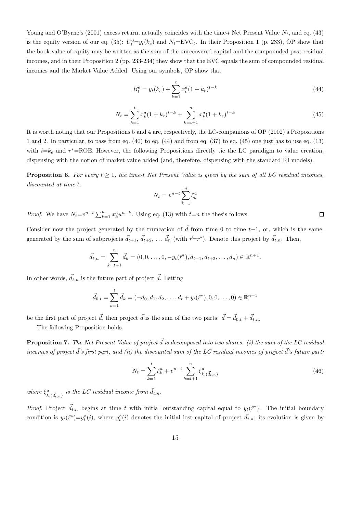Young and O'Byrne's (2001) excess return, actually coincides with the time-t Net Present Value  $N_t$ , and eq. (43) is the equity version of our eq. (35):  $U_t^0 = y_t(k_e)$  and  $N_t = \text{EVC}_t$ . In their Proposition 1 (p. 233), OP show that the book value of equity may be written as the sum of the unrecovered capital and the compounded past residual incomes, and in their Proposition 2 (pp. 233-234) they show that the EVC equals the sum of compounded residual incomes and the Market Value Added. Using our symbols, OP show that

$$
B_t^e = y_t(k_e) + \sum_{k=1}^t x_t^a (1 + k_e)^{t-k}
$$
\n(44)

$$
N_t = \sum_{k=1}^t x_k^a (1 + k_e)^{t-k} + \sum_{k=t+1}^n x_k^a (1 + k_e)^{t-k}
$$
\n(45)

It is worth noting that our Propositions 5 and 4 are, respectively, the LC-companions of OP (2002)'s Propositions 1 and 2. In particular, to pass from eq. (40) to eq. (44) and from eq. (37) to eq. (45) one just has to use eq. (13) with  $i=k_e$  and  $r^*$ =ROE. However, the following Propositions directly tie the LC paradigm to value creation, dispensing with the notion of market value added (and, therefore, dispensing with the standard RI models).

**Proposition 6.** For every  $t \geq 1$ , the time-t Net Present Value is given by the sum of all LC residual incomes, discounted at time t:

$$
N_t = v^{n-t} \sum_{k=1}^n \xi_k^a
$$

*Proof.* We have  $N_t = v^{n-t} \sum_{k=1}^n x_k^a u^{n-k}$ . Using eq. (13) with  $t=n$  the thesis follows.

Consider now the project generated by the truncation of  $\vec{d}$  from time 0 to time t–1, or, which is the same, generated by the sum of subprojects  $\vec{d}_{t+1}$ ,  $\vec{d}_{t+2}$ , ...  $\vec{d}_n$  (with  $\vec{r} = \vec{r}^*$ ). Denote this project by  $\vec{d}_{t,n}$ . Then,

$$
\vec{d}_{t,n} = \sum_{k=t+1}^{n} \vec{d}_k = (0,0,\ldots,0,-y_t(\vec{r}^*),d_{t+1},d_{t+2},\ldots,d_n) \in \mathbb{R}^{n+1}.
$$

In other words,  $\vec{d}_{t,n}$  is the future part of project  $\vec{d}$ . Letting

$$
\vec{d}_{0,t} = \sum_{k=1}^{t} \vec{d}_k = (-d_0, d_1, d_2, \dots, d_t + y_t(\vec{r}^*), 0, 0, \dots, 0) \in \mathbb{R}^{n+1}
$$

be the first part of project  $\vec{d}$ , then project  $\vec{d}$  is the sum of the two parts:  $\vec{d} = \vec{d}_{0,t} + \vec{d}_{t,n}$ .

The following Proposition holds.

**Proposition 7.** The Net Present Value of project  $\vec{d}$  is decomposed into two shares: (i) the sum of the LC residual incomes of project  $\vec{d}$ 's first part, and (ii) the discounted sum of the LC residual incomes of project  $\vec{d}$ 's future part:

$$
N_t = \sum_{k=1}^t \xi_k^a + v^{n-t} \sum_{k=t+1}^n \xi_{k, (\vec{d}_{t,n})}^a
$$
 (46)

where  $\xi_{k,(\vec{d}_{t,n})}^a$  is the LC residual income from  $\vec{d}_{t,n}$ .

*Proof.* Project  $\vec{d}_{t,n}$  begins at time t with initial outstanding capital equal to  $y_t(\vec{r}^*)$ . The initial boundary condition is  $y_t(\vec{r}^*) = y_t^{\circ}(i)$ , where  $y_t^{\circ}(i)$  denotes the initial lost capital of project  $\vec{d}_{t,n}$ ; its evolution is given by

 $\Box$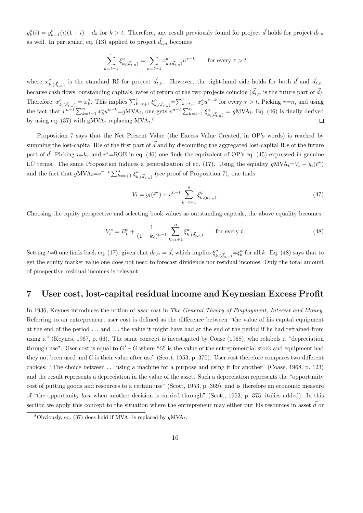$y_k^{\circ}(i) = y_{k-1}^{\circ}(i)(1+i) - d_k$  for  $k > t$ . Therefore, any result previously found for project  $\vec{d}$  holds for project  $\vec{d}_{t,n}$ as well. In particular, eq. (13) applied to project  $\vec{d}_{t,n}$  becomes

$$
\sum_{k=t+1}^{\tau} \xi_{k,(\vec{d}_{t,n})}^a = \sum_{k=t+1}^{\tau} x_{k,(\vec{d}_{t,n})}^a u^{\tau-k} \qquad \text{for every } \tau > t
$$

where  $x_{k,(\vec{d}_{t,n})}^a$  is the standard RI for project  $\vec{d}_{t,n}$ . However, the right-hand side holds for both  $\vec{d}$  and  $\vec{d}_{t,n}$ , because cash flows, outstanding capitals, rates of return of the two projects coincide  $(\vec{d}_{t,n})$  is the future part of  $\vec{d}$ ). Therefore,  $x_{k,(\vec{d}_{t,n})}^a = x_k^a$ . This implies  $\sum_{k=t+1}^{\tau} \xi_{k,(\vec{d}_{t,n})}^a = \sum_{k=t+1}^{\tau} x_k^a u^{\tau-k}$  for every  $\tau > t$ . Picking  $\tau = n$ , and using the fact that  $v^{n-t} \sum_{k=t+1}^{n} x_k^a u^{n-k} = gMVA_t$ , one gets  $v^{n-t} \sum_{k=t+1}^{n} \xi_{k,(\vec{d}_{t,n})}^a = gMVA_t$ . Eq. (46) is finally derived by using eq. (37) with  $gMVA_t$  replacing  $MVA_t$ .<sup>8</sup>  $\Box$ 

Proposition 7 says that the Net Present Value (the Excess Value Created, in OP's words) is reached by summing the lost-capital RIs of the first part of  $\vec{d}$  and by discounting the aggregated lost-capital RIs of the future part of  $\vec{d}$ . Picking  $i=k_e$  and  $r^*$ =ROE in eq. (46) one finds the equivalent of OP's eq. (45) expressed in genuine LC terms. The same Proposition induces a generalization of eq. (17). Using the equality  $gMVA_t = V_t - y_t(\vec{r}^*)$ and the fact that  $gMVA_t = v^{n-t} \sum_{k=t+1}^{n} \xi_{k,(\vec{d}_{t,n})}^a$  (see proof of Proposition 7), one finds

$$
V_t = y_t(\vec{r}^*) + v^{n-t} \sum_{k=t+1}^n \xi_{k,(\vec{d}_{t,n})}^a.
$$
\n(47)

Choosing the equity perspective and selecting book values as outstanding capitals, the above equality becomes

$$
V_t^e = B_t^e + \frac{1}{(1 + k_e)^{n-t}} \sum_{k=t+1}^n \xi_{k, (\vec{d}_{t,n})}^a \qquad \text{for every } t.
$$
 (48)

Setting  $t=0$  one finds back eq. (17), given that  $\vec{d}_{0,n} = \vec{d}$ , which implies  $\xi^a_{k,(\vec{d}_{0,n})} = \xi^a_k$  for all k. Eq. (48) says that to get the equity market value one does not need to forecast dividends nor residual incomes: Only the total amount of prospective residual incomes is relevant.

#### 7 User cost, lost-capital residual income and Keynesian Excess Profit

In 1936, Keynes introduces the notion of user cost in The General Theory of Employment, Interest and Money. Referring to an entrepreneur, user cost is defined as the difference between "the value of his capital equipment at the end of the period . . . and . . . the value it might have had at the end of the period if he had refrained from using it" (Keynes, 1967, p. 66). The same concept is investigated by Coase (1968), who relabels it "depreciation through use". User cost is equal to  $G' - G$  where "G' is the value of the entrepreneurial stock and equipment had they not been used and G is their value after use" (Scott, 1953, p. 370). User cost therefore compares two different choices: "The choice between . . . using a machine for a purpose and using it for another" (Coase, 1968, p. 123) and the result represents a depreciation in the value of the asset. Such a depreciation represents the "opportunity cost of putting goods and resources to a certain use" (Scott, 1953, p. 369), and is therefore an economic measure of "the opportunity lost when another decision is carried through" (Scott, 1953, p. 375, italics added). In this section we apply this concept to the situation where the entrepreneur may either put his resources in asset  $d$  or

<sup>&</sup>lt;sup>8</sup>Obviously, eq. (37) does hold if  $MVA_t$  is replaced by  $qMVA_t$ .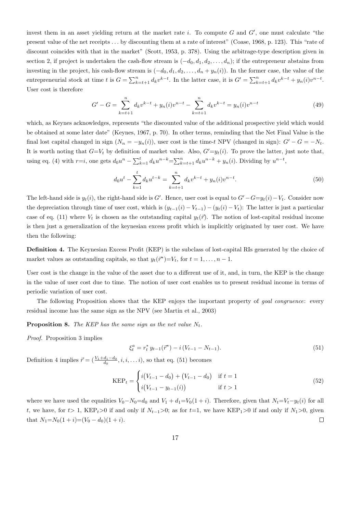invest them in an asset yielding return at the market rate i. To compute  $G$  and  $G'$ , one must calculate "the present value of the net receipts . . . by discounting them at a rate of interest" (Coase, 1968, p. 123). This "rate of discount coincides with that in the market" (Scott, 1953, p. 378). Using the arbitrage-type description given in section 2, if project is undertaken the cash-flow stream is  $(-d_0, d_1, d_2, \ldots, d_n)$ ; if the entrepreneur abstains from investing in the project, his cash-flow stream is  $(-d_0, d_1, d_2, \ldots, d_n + y_n(i))$ . In the former case, the value of the entrepreneurial stock at time t is  $G = \sum_{k=t+1}^{n} d_k v^{k-t}$ . In the latter case, it is  $G' = \sum_{k=t+1}^{n} d_k v^{k-t} + y_n(i) v^{n-t}$ . User cost is therefore

$$
G' - G = \sum_{k=t+1}^{n} d_k v^{k-t} + y_n(i) v^{n-t} - \sum_{k=t+1}^{n} d_k v^{k-t} = y_n(i) v^{n-t}
$$
\n
$$
(49)
$$

which, as Keynes acknowledges, represents "the discounted value of the additional prospective yield which would be obtained at some later date" (Keynes, 1967, p. 70). In other terms, reminding that the Net Final Value is the final lost capital changed in sign  $(N_n = -y_n(i))$ , user cost is the time-t NPV (changed in sign):  $G' - G = -N_t$ . It is worth noting that  $G=V_t$  by definition of market value. Also,  $G'=y_t(i)$ . To prove the latter, just note that, using eq. (4) with  $r=i$ , one gets  $d_0u^n - \sum_{k=1}^t d_ku^{n-k} = \sum_{k=t+1}^n d_ku^{n-k} + y_n(i)$ . Dividing by  $u^{n-t}$ ,

$$
d_0 u^t - \sum_{k=1}^t d_k u^{t-k} = \sum_{k=t+1}^n d_k v^{k-t} + y_n(i) v^{n-t}.
$$
\n(50)

The left-hand side is  $y_t(i)$ , the right-hand side is G'. Hence, user cost is equal to  $G' - G = y_t(i) - V_t$ . Consider now the depreciation through time of user cost, which is  $(y_{t-1}(i) - V_{t-1}) - (y_t(i) - V_t)$ : The latter is just a particular case of eq. (11) where  $V_t$  is chosen as the outstanding capital  $y_t(\vec{r})$ . The notion of lost-capital residual income is then just a generalization of the keynesian excess profit which is implicitly originated by user cost. We have then the following:

Definition 4. The Keynesian Excess Profit (KEP) is the subclass of lost-capital RIs generated by the choice of market values as outstanding capitals, so that  $y_t(\vec{r}^*) = V_t$ , for  $t = 1, \ldots, n - 1$ .

User cost is the change in the value of the asset due to a different use of it, and, in turn, the KEP is the change in the value of user cost due to time. The notion of user cost enables us to present residual income in terms of periodic variation of user cost.

The following Proposition shows that the KEP enjoys the important property of *goal congruence*: every residual income has the same sign as the NPV (see Martin et al., 2003)

**Proposition 8.** The KEP has the same sign as the net value  $N_t$ .

Proof. Proposition 3 implies

$$
\xi_t^a = r_t^* y_{t-1}(\vec{r}^*) - i(V_{t-1} - N_{t-1}).
$$
\n(51)

Definition 4 implies  $\vec{r} = (\frac{V_1 + d_1 - d_0}{d_0}, i, i, \dots i)$ , so that eq. (51) becomes

$$
KEP_t = \begin{cases} i(V_{t-1} - d_0) + (V_{t-1} - d_0) & \text{if } t = 1\\ i(V_{t-1} - y_{t-1}(i)) & \text{if } t > 1 \end{cases}
$$
(52)

where we have used the equalities  $V_0 - N_0 = d_0$  and  $V_1 + d_1 = V_0(1 + i)$ . Therefore, given that  $N_t = V_t - y_t(i)$  for all t, we have, for t> 1, KEP<sub>t</sub>>0 if and only if  $N_{t-1}>0$ ; as for t=1, we have KEP<sub>1</sub>>0 if and only if  $N_1>0$ , given that  $N_1=N_0(1+i)=(V_0-d_0)(1+i)$ .  $\Box$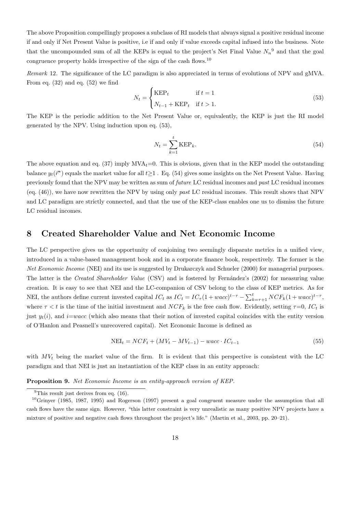The above Proposition compellingly proposes a subclass of RI models that always signal a positive residual income if and only if Net Present Value is positive, i.e if and only if value exceeds capital infused into the business. Note that the uncompounded sum of all the KEPs is equal to the project's Net Final Value  $N_n^{\,9}$  and that the goal congruence property holds irrespective of the sign of the cash flows.<sup>10</sup>

Remark 12. The significance of the LC paradigm is also appreciated in terms of evolutions of NPV and gMVA. From eq.  $(32)$  and eq.  $(52)$  we find

$$
N_t = \begin{cases} \text{KEP}_t & \text{if } t = 1\\ N_{t-1} + \text{KEP}_t & \text{if } t > 1. \end{cases} \tag{53}
$$

The KEP is the periodic addition to the Net Present Value or, equivalently, the KEP is just the RI model generated by the NPV. Using induction upon eq. (53),

$$
N_t = \sum_{k=1}^t \text{KEP}_k. \tag{54}
$$

The above equation and eq. (37) imply  $\text{MVA}_{t}=0$ . This is obvious, given that in the KEP model the outstanding balance  $y_t(\vec{r}^*)$  equals the market value for all  $t \geq 1$ . Eq. (54) gives some insights on the Net Present Value. Having previously found that the NPV may be written as sum of future LC residual incomes and past LC residual incomes (eq.  $(46)$ ), we have now rewritten the NPV by using only past LC residual incomes. This result shows that NPV and LC paradigm are strictly connected, and that the use of the KEP-class enables one us to dismiss the future LC residual incomes.

#### 8 Created Shareholder Value and Net Economic Income

The LC perspective gives us the opportunity of conjoining two seemingly disparate metrics in a unified view, introduced in a value-based management book and in a corporate finance book, respectively. The former is the Net Economic Income (NEI) and its use is suggested by Drukarczyk and Schueler (2000) for managerial purposes. The latter is the Created Shareholder Value (CSV) and is fostered by Fernández's (2002) for measuring value creation. It is easy to see that NEI and the LC-companion of CSV belong to the class of KEP metrics. As for NEI, the authors define current invested capital  $IC_t$  as  $IC_t = IC_{\tau}(1 + wacc)^{t-\tau} - \sum_{k=\tau+1}^{t} NCF_k(1 + wacc)^{t-\tau}$ , where  $\tau < t$  is the time of the initial investment and  $NCF_k$  is the free cash flow. Evidently, setting  $\tau=0$ ,  $IC_t$  is just  $y_t(i)$ , and  $i=wacc$  (which also means that their notion of invested capital coincides with the entity version of O'Hanlon and Peasnell's unrecovered capital). Net Economic Income is defined as

$$
NEI_t = NCF_t + (MV_t - MV_{t-1}) - wacc \cdot IC_{t-1}
$$
\n
$$
(55)
$$

with  $MV_t$  being the market value of the firm. It is evident that this perspective is consistent with the LC paradigm and that NEI is just an instantiation of the KEP class in an entity approach:

Proposition 9. Net Economic Income is an entity-approach version of KEP.

<sup>&</sup>lt;sup>9</sup>This result just derives from eq.  $(16)$ .

<sup>10</sup>Grinyer (1985, 1987, 1995) and Rogerson (1997) present a goal congruent measure under the assumption that all cash flows have the same sign. However, "this latter constraint is very unrealistic as many positive NPV projects have a mixture of positive and negative cash flows throughout the project's life." (Martin et al., 2003, pp. 20–21).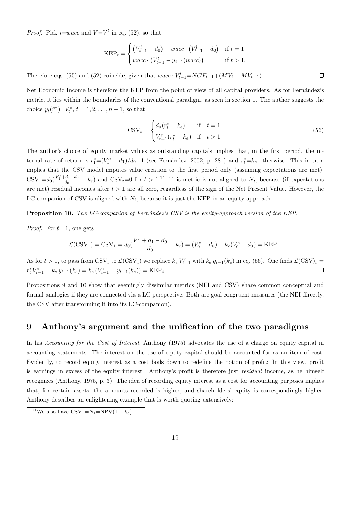*Proof.* Pick *i*=*wacc* and  $V=V<sup>l</sup>$  in eq. (52), so that

$$
KEP_t = \begin{cases} \left(V_{t-1}^l - d_0\right) + wacc \cdot \left(V_{t-1}^l - d_0\right) & \text{if } t = 1\\ wacc \cdot \left(V_{t-1}^l - y_{t-1}(wacc)\right) & \text{if } t > 1. \end{cases}
$$

Therefore eqs. (55) and (52) coincide, given that  $wacc \cdot V_{t-1}^l = NCF_{t-1} + (MV_t - MV_{t-1})$ .

Net Economic Income is therefore the KEP from the point of view of all capital providers. As for Fernández's metric, it lies within the boundaries of the conventional paradigm, as seen in section 1. The author suggests the choice  $y_t(\vec{r}^*) = V_t^e, t = 1, 2, ..., n - 1$ , so that

$$
CSV_t = \begin{cases} d_0(r_t^* - k_e) & \text{if } t = 1\\ V_{t-1}^e(r_t^* - k_e) & \text{if } t > 1. \end{cases}
$$
 (56)

 $\Box$ 

The author's choice of equity market values as outstanding capitals implies that, in the first period, the internal rate of return is  $r_1^*=(V_1^e+d_1)/d_0-1$  (see Fernández, 2002, p. 281) and  $r_t^* = k_e$  otherwise. This in turn implies that the CSV model imputes value creation to the first period only (assuming expectations are met):  $\text{CSV}_1=d_0(\frac{V_1^e+d_1-d_0}{d_0}-k_e)$  and  $\text{CSV}_t=0$  for  $t>1$ .<sup>11</sup> This metric is not aligned to  $N_t$ , because (if expectations are met) residual incomes after  $t > 1$  are all zero, regardless of the sign of the Net Present Value. However, the LC-companion of CSV is aligned with  $N_t$ , because it is just the KEP in an equity approach.

Proposition 10. The LC-companion of Fernández's CSV is the equity-approach version of the KEP.

*Proof.* For  $t = 1$ , one gets

$$
\mathcal{L}(\text{CSV}_1) = \text{CSV}_1 = d_0(\frac{V_1^e + d_1 - d_0}{d_0} - k_e) = (V_0^e - d_0) + k_e(V_0^e - d_0) = \text{KEP}_1.
$$

As for  $t > 1$ , to pass from CSV<sub>t</sub> to  $\mathcal{L}(\text{CSV}_t)$  we replace  $k_e V_{t-1}^e$  with  $k_e y_{t-1}(k_e)$  in eq. (56). One finds  $\mathcal{L}(\text{CSV})_t =$  $r_t^* V_{t-1}^e - k_e y_{t-1}(k_e) = k_e (V_{t-1}^e - y_{t-1}(k_e)) = \text{KEP}_t.$  $\Box$ 

Propositions 9 and 10 show that seemingly dissimilar metrics (NEI and CSV) share common conceptual and formal analogies if they are connected via a LC perspective: Both are goal congruent measures (the NEI directly, the CSV after transforming it into its LC-companion).

#### 9 Anthony's argument and the unification of the two paradigms

In his Accounting for the Cost of Interest, Anthony (1975) advocates the use of a charge on equity capital in accounting statements: The interest on the use of equity capital should be accounted for as an item of cost. Evidently, to record equity interest as a cost boils down to redefine the notion of profit: In this view, profit is earnings in excess of the equity interest. Anthony's profit is therefore just *residual* income, as he himself recognizes (Anthony, 1975, p. 3). The idea of recording equity interest as a cost for accounting purposes implies that, for certain assets, the amounts recorded is higher, and shareholders' equity is correspondingly higher. Anthony describes an enlightening example that is worth quoting extensively:

<sup>&</sup>lt;sup>11</sup>We also have  $\text{CSV}_1=N_1=\text{NPV}(1+k_e)$ .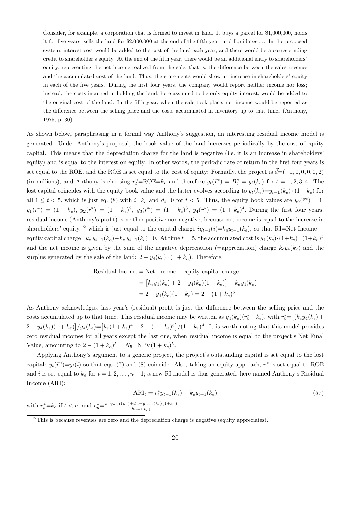Consider, for example, a corporation that is formed to invest in land. It buys a parcel for \$1,000,000, holds it for five years, sells the land for \$2,000,000 at the end of the fifth year, and liquidates . . . In the proposed system, interest cost would be added to the cost of the land each year, and there would be a corresponding credit to shareholder's equity. At the end of the fifth year, there would be an additional entry to shareholders' equity, representing the net income realized from the sale; that is, the difference between the sales revenue and the accumulated cost of the land. Thus, the statements would show an increase in shareholders' equity in each of the five years. During the first four years, the company would report neither income nor loss; instead, the costs incurred in holding the land, here assumed to be only equity interest, would be added to the original cost of the land. In the fifth year, when the sale took place, net income would be reported as the difference between the selling price and the costs accumulated in inventory up to that time. (Anthony, 1975, p. 30)

As shown below, paraphrasing in a formal way Anthony's suggestion, an interesting residual income model is generated. Under Anthony's proposal, the book value of the land increases periodically by the cost of equity capital. This means that the depreciation charge for the land is negative (i.e. it is an increase in shareholders' equity) and is equal to the interest on equity. In other words, the periodic rate of return in the first four years is set equal to the ROE, and the ROE is set equal to the cost of equity: Formally, the project is  $\vec{d} = (-1, 0, 0, 0, 0, 2)$ (in millions), and Anthony is choosing  $r_t^* = \text{ROE} = k_e$  and therefore  $y_t(\vec{r}^*) = B_t^e = y_t(k_e)$  for  $t = 1, 2, 3, 4$ . The lost capital coincides with the equity book value and the latter evolves according to  $y_t(k_e)=y_{t-1}(k_e)\cdot(1 + k_e)$  for all  $1 \leq t < 5$ , which is just eq. (8) with  $i=k_e$  and  $d_t=0$  for  $t < 5$ . Thus, the equity book values are  $y_0(\vec{r}^*)=1$ ,  $y_1(\vec{r}^*) = (1 + k_e), y_2(\vec{r}^*) = (1 + k_e)^2, y_3(\vec{r}^*) = (1 + k_e)^3, y_4(\vec{r}^*) = (1 + k_e)^4$ . During the first four years, residual income (Anthony's profit) is neither positive nor negative, because net income is equal to the increase in shareholders' equity,<sup>12</sup> which is just equal to the capital charge  $iy_{t-1}(i)=k_ey_{t-1}(k_e)$ , so that RI=Net Income − equity capital charge= $k_e y_{t-1}(k_e) - k_e y_{t-1}(k_e) = 0$ . At time  $t = 5$ , the accumulated cost is  $y_4(k_e) \cdot (1+k_e) = (1+k_e)^5$ and the net income is given by the sum of the negative depreciation (=appreciation) charge  $k_e y_4(k_e)$  and the surplus generated by the sale of the land:  $2 - y_4(k_e) \cdot (1 + k_e)$ . Therefore,

Residual Income = Net Income 
$$
-\overline{} = \overline{}
$$

$$
= [k_e y_4(k_e) + 2 - y_4(k_e)(1 + k_e)] - k_e y_4(k_e)
$$
  
= 2 - y\_4(k\_e)(1 + k\_e) = 2 - (1 + k\_e)<sup>5</sup>

As Anthony acknowledges, last year's (residual) profit is just the difference between the selling price and the costs accumulated up to that time. This residual income may be written as  $y_4(k_e)(r_5^* - k_e)$ , with  $r_5^* = [(k_e y_4(k_e) +$  $2 - y_4(k_e)(1 + k_e) / y_4(k_e) = [k_e(1 + k_e)^4 + 2 - (1 + k_e)^5] / (1 + k_e)^4$ . It is worth noting that this model provides zero residual incomes for all years except the last one, when residual income is equal to the project's Net Final Value, amounting to  $2 - (1 + k_e)^5 = N_5 = NPV(1 + k_e)^5$ .

Applying Anthony's argument to a generic project, the project's outstanding capital is set equal to the lost capital:  $y_t(\vec{r}^*) = y_t(i)$  so that eqs. (7) and (8) coincide. Also, taking an equity approach,  $r^*$  is set equal to ROE and i is set equal to  $k_e$  for  $t = 1, 2, \ldots, n-1$ ; a new RI model is thus generated, here named Anthony's Residual Income (ARI):

$$
ARI_t = r_t^* y_{t-1}(k_e) - k_e y_{t-1}(k_e)
$$
\n
$$
k_{t-1} + d_t = u_{t-1}(k_t)(1+k_t)
$$
\n(57)

with  $r_t^* = k_e$  if  $t < n$ , and  $r_n^* = \frac{k_e y_{n-1}(k_e) + d_n - y_{n-1}(k_e)(1+k_e)}{y_{n-1}(k_e)}$  $\frac{[u_n - y_{n-1}(k_e)] (1 + k_e)}{y_{n-1}(k_e)}$ .

 $12$ This is because revenues are zero and the depreciation charge is negative (equity appreciates).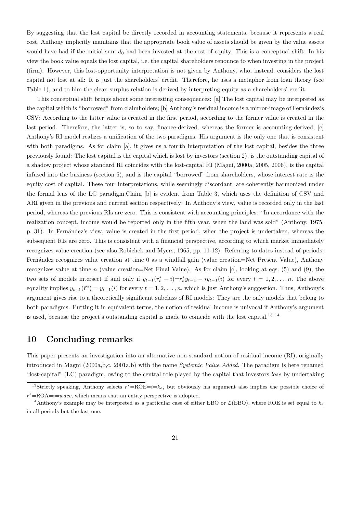By suggesting that the lost capital be directly recorded in accounting statements, because it represents a real cost, Anthony implicitly maintains that the appropriate book value of assets should be given by the value assets would have had if the initial sum  $d_0$  had been invested at the cost of equity. This is a conceptual shift: In his view the book value equals the lost capital, i.e. the capital shareholders renounce to when investing in the project (firm). However, this lost-opportunity interpretation is not given by Anthony, who, instead, considers the lost capital not lost at all: It is just the shareholders' credit. Therefore, he uses a metaphor from loan theory (see Table 1), and to him the clean surplus relation is derived by interpreting equity as a shareholders' credit.

This conceptual shift brings about some interesting consequences: [a] The lost capital may be interpreted as the capital which is "borrowed" from claimholders; [b] Anthony's residual income is a mirror-image of Fernández's CSV: According to the latter value is created in the first period, according to the former value is created in the last period. Therefore, the latter is, so to say, finance-derived, whereas the former is accounting-derived; [c] Anthony's RI model realizes a unification of the two paradigms. His argument is the only one that is consistent with both paradigms. As for claim [a], it gives us a fourth interpretation of the lost capital, besides the three previously found: The lost capital is the capital which is lost by investors (section 2), is the outstanding capital of a shadow project whose standard RI coincides with the lost-capital RI (Magni, 2000a, 2005, 2006), is the capital infused into the business (section 5), and is the capital "borrowed" from shareholders, whose interest rate is the equity cost of capital. These four interpretations, while seemingly discordant, are coherently harmonized under the formal lens of the LC paradigm.Claim [b] is evident from Table 3, which uses the definition of CSV and ARI given in the previous and current section respectively: In Anthony's view, value is recorded only in the last period, whereas the previous RIs are zero. This is consistent with accounting principles: "In accordance with the realization concept, income would be reported only in the fifth year, when the land was sold" (Anthony, 1975, p. 31). In Fernández's view, value is created in the first period, when the project is undertaken, whereas the subsequent RIs are zero. This is consistent with a financial perspective, according to which market immediately recognizes value creation (see also Robichek and Myers, 1965, pp. 11-12). Referring to dates instead of periods: Fern´andez recognizes value creation at time 0 as a windfall gain (value creation=Net Present Value), Anthony recognizes value at time  $n$  (value creation=Net Final Value). As for claim  $[c]$ , looking at eqs. (5) and (9), the two sets of models intersect if and only if  $y_{t-1}(r_t^* - i) = r_t^* y_{t-1} - iy_{t-1}(i)$  for every  $t = 1, 2, ..., n$ . The above equality implies  $y_{t-1}(\vec{r}^*) = y_{t-1}(i)$  for every  $t = 1, 2, ..., n$ , which is just Anthony's suggestion. Thus, Anthony's argument gives rise to a theoretically significant subclass of RI models: They are the only models that belong to both paradigms. Putting it in equivalent terms, the notion of residual income is univocal if Anthony's argument is used, because the project's outstanding capital is made to coincide with the lost capital.<sup>13,14</sup>

#### 10 Concluding remarks

This paper presents an investigation into an alternative non-standard notion of residual income (RI), originally introduced in Magni (2000a,b,c, 2001a,b) with the name Systemic Value Added. The paradigm is here renamed "lost-capital" (LC) paradigm, owing to the central role played by the capital that investors lose by undertaking

<sup>&</sup>lt;sup>13</sup>Strictly speaking, Anthony selects  $r^* = \text{ROE} = i = k_e$ , but obviously his argument also implies the possible choice of  $r^*$ =ROA= $i$ =wacc, which means that an entity perspective is adopted.

<sup>&</sup>lt;sup>14</sup>Anthony's example may be interpreted as a particular case of either EBO or  $\mathcal{L}(EBO)$ , where ROE is set equal to  $k_e$ in all periods but the last one.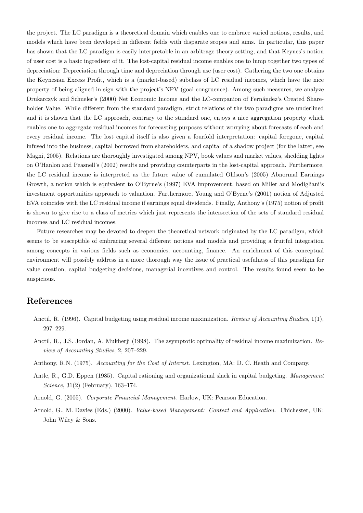the project. The LC paradigm is a theoretical domain which enables one to embrace varied notions, results, and models which have been developed in different fields with disparate scopes and aims. In particular, this paper has shown that the LC paradigm is easily interpretable in an arbitrage theory setting, and that Keynes's notion of user cost is a basic ingredient of it. The lost-capital residual income enables one to lump together two types of depreciation: Depreciation through time and depreciation through use (user cost). Gathering the two one obtains the Keynesian Excess Profit, which is a (market-based) subclass of LC residual incomes, which have the nice property of being aligned in sign with the project's NPV (goal congruence). Among such measures, we analyze Drukarczyk and Schueler's (2000) Net Economic Income and the LC-companion of Fernández's Created Shareholder Value. While different from the standard paradigm, strict relations of the two paradigms are underlined and it is shown that the LC approach, contrary to the standard one, enjoys a nice aggregation property which enables one to aggregate residual incomes for forecasting purposes without worrying about forecasts of each and every residual income. The lost capital itself is also given a fourfold interpretation: capital foregone, capital infused into the business, capital borrowed from shareholders, and capital of a shadow project (for the latter, see Magni, 2005). Relations are thoroughly investigated among NPV, book values and market values, shedding lights on O'Hanlon and Peasnell's (2002) results and providing counterparts in the lost-capital approach. Furthermore, the LC residual income is interpreted as the future value of cumulated Ohlson's (2005) Abnormal Earnings Growth, a notion which is equivalent to O'Byrne's (1997) EVA improvement, based on Miller and Modigliani's investment opportunities approach to valuation. Furthermore, Young and O'Byrne's (2001) notion of Adjusted EVA coincides with the LC residual income if earnings equal dividends. Finally, Anthony's (1975) notion of profit is shown to give rise to a class of metrics which just represents the intersection of the sets of standard residual incomes and LC residual incomes.

Future researches may be devoted to deepen the theoretical network originated by the LC paradigm, which seems to be susceptible of embracing several different notions and models and providing a fruitful integration among concepts in various fields such as economics, accounting, finance. An enrichment of this conceptual environment will possibly address in a more thorough way the issue of practical usefulness of this paradigm for value creation, capital budgeting decisions, managerial incentives and control. The results found seem to be auspicious.

#### References

- Anctil, R. (1996). Capital budgeting using residual income maximization. Review of Accounting Studies, 1(1), 297–229.
- Anctil, R., J.S. Jordan, A. Mukherji (1998). The asymptotic optimality of residual income maximization. Review of Accounting Studies, 2, 207–229.
- Anthony, R.N. (1975). Accounting for the Cost of Interest. Lexington, MA: D. C. Heath and Company.
- Antle, R., G.D. Eppen (1985). Capital rationing and organizational slack in capital budgeting. Management Science, 31(2) (February), 163–174.
- Arnold, G. (2005). Corporate Financial Management. Harlow, UK: Pearson Education.
- Arnold, G., M. Davies (Eds.) (2000). Value-based Management: Context and Application. Chichester, UK: John Wiley & Sons.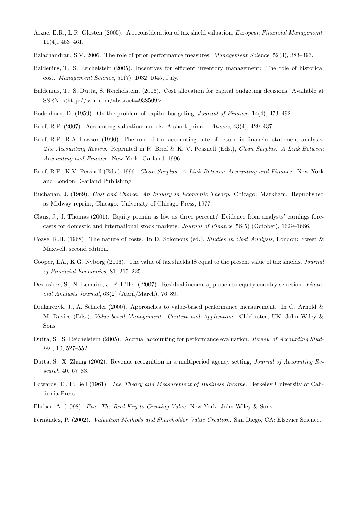- Arzac, E.R., L.R. Glosten (2005). A reconsideration of tax shield valuation, European Financial Management, 11(4), 453–461.
- Balachandran, S.V. 2006. The role of prior performance measures. Management Science, 52(3), 383–393.
- Baldenius, T., S. Reichelstein (2005). Incentives for efficient inventory management: The role of historical cost. Management Science, 51(7), 1032–1045, July.
- Baldenius, T., S. Dutta, S. Reichelstein, (2006). Cost allocation for capital budgeting decisions. Available at SSRN: <http://ssrn.com/abstract=938509>.
- Bodenhorn, D. (1959). On the problem of capital budgeting, Journal of Finance, 14(4), 473–492.
- Brief, R.P. (2007). Accounting valuation models: A short primer. Abacus, 43(4), 429–437.
- Brief, R.P., R.A. Lawson (1990). The role of the accounting rate of return in financial statement analysis. The Accounting Review. Reprinted in R. Brief & K. V. Peasnell (Eds.), Clean Surplus. A Link Between Accounting and Finance. New York: Garland, 1996.
- Brief, R.P., K.V. Peasnell (Eds.) 1996. Clean Surplus: A Link Between Accounting and Finance. New York and London: Garland Publishing.
- Buchanan, J. (1969). Cost and Choice. An Inquiry in Economic Theory. Chicago: Markham. Republished as Midway reprint, Chicago: University of Chicago Press, 1977.
- Claus, J., J. Thomas (2001). Equity premia as low as three percent? Evidence from analysts' earnings forecasts for domestic and international stock markets. Journal of Finance, 56(5) (October), 1629–1666.
- Coase, R.H. (1968). The nature of costs. In D. Solomons (ed.), Studies in Cost Analysis, London: Sweet & Maxwell, second edition.
- Cooper, I.A., K.G. Nyborg (2006). The value of tax shields IS equal to the present value of tax shields, Journal of Financial Economics, 81, 215–225.
- Desrosiers, S., N. Lemaire, J.-F. L'Her ( 2007). Residual income approach to equity country selection. Financial Analysts Journal, 63(2) (April/March), 76–89.
- Drukarczyk, J., A. Schueler (2000). Approaches to value-based performance measurement. In G. Arnold & M. Davies (Eds.), Value-based Management: Context and Application. Chichester, UK: John Wiley & Sons
- Dutta, S., S. Reichelstein (2005). Accrual accounting for performance evaluation. Review of Accounting Studies , 10, 527–552.
- Dutta, S., X. Zhang (2002). Revenue recognition in a multiperiod agency setting, Journal of Accounting Research 40, 67–83.
- Edwards, E., P. Bell (1961). The Theory and Measurement of Business Income. Berkeley University of California Press.
- Ehrbar, A. (1998). Eva: The Real Key to Creating Value. New York: John Wiley & Sons.
- Fernández, P. (2002). Valuation Methods and Shareholder Value Creation. San Diego, CA: Elsevier Science.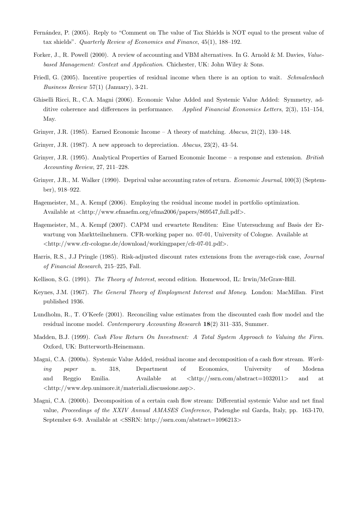- Fernández, P. (2005). Reply to "Comment on The value of Tax Shields is NOT equal to the present value of tax shields". Quarterly Review of Economics and Finance, 45(1), 188–192.
- Forker, J., R. Powell (2000). A review of accounting and VBM alternatives. In G. Arnold & M. Davies, Valuebased Management: Context and Application. Chichester, UK: John Wiley & Sons.
- Friedl, G. (2005). Incentive properties of residual income when there is an option to wait. Schmalenbach Business Review 57(1) (January), 3-21.
- Ghiselli Ricci, R., C.A. Magni (2006). Economic Value Added and Systemic Value Added: Symmetry, additive coherence and differences in performance. Applied Financial Economics Letters, 2(3), 151–154, May.
- Grinyer, J.R. (1985). Earned Economic Income A theory of matching. Abacus, 21(2), 130–148.
- Grinyer, J.R. (1987). A new approach to depreciation. Abacus, 23(2), 43–54.
- Grinyer, J.R. (1995). Analytical Properties of Earned Economic Income a response and extension. British Accounting Review, 27, 211–228.
- Grinyer, J.R., M. Walker (1990). Deprival value accounting rates of return. *Economic Journal*, 100(3) (September), 918–922.
- Hagemeister, M., A. Kempf (2006). Employing the residual income model in portfolio optimization. Available at  $\langle \text{http://www.efmaefm.org/efma2006/papers/869547-full.pdf}\rangle$ .
- Hagemeister, M., A. Kempf (2007). CAPM und erwartete Renditen: Eine Untersuchung auf Basis der Erwartung von Marktteilnehmern. CFR-working paper no. 07-01, University of Cologne. Available at <http://www.cfr-cologne.de/download/workingpaper/cfr-07-01.pdf>.
- Harris, R.S., J.J Pringle (1985). Risk-adjusted discount rates extensions from the average-risk case, Journal of Financial Research, 215–225, Fall.
- Kellison, S.G. (1991). The Theory of Interest, second edition. Homewood, IL: Irwin/McGraw-Hill.
- Keynes, J.M. (1967). The General Theory of Employment Interest and Money. London: MacMillan. First published 1936.
- Lundholm, R., T. O'Keefe (2001). Reconciling value estimates from the discounted cash flow model and the residual income model. Contemporary Accounting Research 18(2) 311–335, Summer.
- Madden, B.J. (1999). Cash Flow Return On Investment: A Total System Approach to Valuing the Firm. Oxford, UK: Butterworth-Heinemann.
- Magni, C.A. (2000a). Systemic Value Added, residual income and decomposition of a cash flow stream. Working paper n. 318, Department of Economics, University of Modena and Reggio Emilia. Available at  $\langle \text{http://ssrn.com/abstract=1032011}>$  and at <http://www.dep.unimore.it/materiali discussione.asp>.
- Magni, C.A. (2000b). Decomposition of a certain cash flow stream: Differential systemic Value and net final value, Proceedings of the XXIV Annual AMASES Conference, Padenghe sul Garda, Italy, pp. 163-170, September 6-9. Available at <SSRN: http://ssrn.com/abstract=1096213>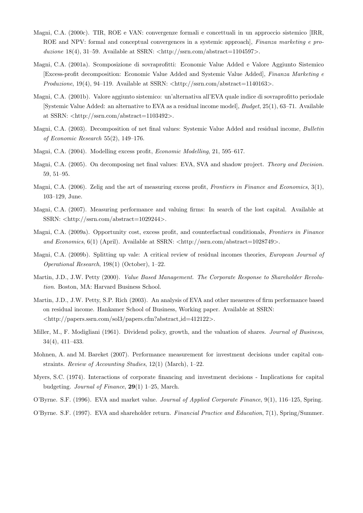- Magni, C.A. (2000c). TIR, ROE e VAN: convergenze formali e concettuali in un approccio sistemico [IRR, ROE and NPV: formal and conceptual convergences in a systemic approach], Finanza marketing e produzione 18(4), 31–59. Available at SSRN:  $\langle \text{http://ssrn.com/abstract=1104597}\rangle$ .
- Magni, C.A. (2001a). Scomposizione di sovraprofitti: Economic Value Added e Valore Aggiunto Sistemico [Excess-profit decomposition: Economic Value Added and Systemic Value Added], Finanza Marketing e  $Productione$ ,  $19(4)$ ,  $94-119$ . Available at SSRN:  $\langle \text{http://ssrn.com/abstract=1140163>}$ .
- Magni, C.A. (2001b). Valore aggiunto sistemico: un'alternativa all'EVA quale indice di sovraprofitto periodale [Systemic Value Added: an alternative to EVA as a residual income model], Budget, 25(1), 63–71. Available at SSRN:  $\langle \text{http://ssrn.com/abstract=1103492>}.$
- Magni, C.A. (2003). Decomposition of net final values: Systemic Value Added and residual income, Bulletin of Economic Research 55(2), 149–176.
- Magni, C.A. (2004). Modelling excess profit, Economic Modelling, 21, 595–617.
- Magni, C.A. (2005). On decomposing net final values: EVA, SVA and shadow project. Theory and Decision. 59, 51–95.
- Magni, C.A. (2006). Zelig and the art of measuring excess profit, Frontiers in Finance and Economics, 3(1), 103–129, June.
- Magni, C.A. (2007). Measuring performance and valuing firms: In search of the lost capital. Available at SSRN: <http://ssrn.com/abstract=1029244>.
- Magni, C.A. (2009a). Opportunity cost, excess profit, and counterfactual conditionals, Frontiers in Finance and Economics,  $6(1)$  (April). Available at SSRN:  $\langle$ http://ssrn.com/abstract=1028749>.
- Magni, C.A. (2009b). Splitting up vale: A critical review of residual incomes theories, European Journal of Operational Research, 198(1) (October), 1–22.
- Martin, J.D., J.W. Petty (2000). Value Based Management. The Corporate Response to Shareholder Revolution. Boston, MA: Harvard Business School.
- Martin, J.D., J.W. Petty, S.P. Rich (2003). An analysis of EVA and other measures of firm performance based on residual income. Hankamer School of Business, Working paper. Available at SSRN: <http://papers.ssrn.com/sol3/papers.cfm?abstract id=412122>.
- Miller, M., F. Modigliani (1961). Dividend policy, growth, and the valuation of shares. Journal of Business, 34(4), 411–433.
- Mohnen, A. and M. Bareket (2007). Performance measurement for investment decisions under capital constraints. Review of Accounting Studies, 12(1) (March), 1–22.
- Myers, S.C. (1974). Interactions of corporate financing and investment decisions Implications for capital budgeting. Journal of Finance, 29(1) 1–25, March.
- O'Byrne. S.F. (1996). EVA and market value. Journal of Applied Corporate Finance, 9(1), 116–125, Spring.
- O'Byrne. S.F. (1997). EVA and shareholder return. Financial Practice and Education, 7(1), Spring/Summer.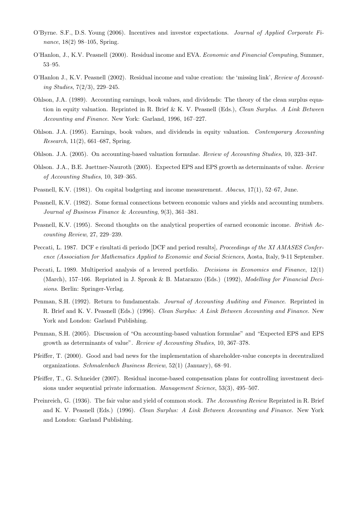- O'Byrne. S.F., D.S. Young (2006). Incentives and investor expectations. Journal of Applied Corporate Finance, 18(2) 98–105, Spring.
- O'Hanlon, J., K.V. Peasnell (2000). Residual income and EVA. Economic and Financial Computing, Summer, 53–95.
- O'Hanlon J., K.V. Peasnell (2002). Residual income and value creation: the 'missing link', Review of Accounting Studies, 7(2/3), 229–245.
- Ohlson, J.A. (1989). Accounting earnings, book values, and dividends: The theory of the clean surplus equation in equity valuation. Reprinted in R. Brief & K. V. Peasnell (Eds.), Clean Surplus. A Link Between Accounting and Finance. New York: Garland, 1996, 167–227.
- Ohlson. J.A. (1995). Earnings, book values, and dividends in equity valuation. Contemporary Accounting Research, 11(2), 661–687, Spring.
- Ohlson. J.A. (2005). On accounting-based valuation formulae. Review of Accounting Studies, 10, 323–347.
- Ohlson. J.A., B.E. Juettner-Nauroth (2005). Expected EPS and EPS growth as determinants of value. Review of Accounting Studies, 10, 349–365.
- Peasnell, K.V. (1981). On capital budgeting and income measurement. Abacus, 17(1), 52–67, June.
- Peasnell, K.V. (1982). Some formal connections between economic values and yields and accounting numbers. Journal of Business Finance & Accounting, 9(3), 361–381.
- Peasnell, K.V. (1995). Second thoughts on the analytical properties of earned economic income. British Accounting Review, 27, 229–239.
- Peccati, L. 1987. DCF e risultati di periodo [DCF and period results], Proceedings of the XI AMASES Conference (Association for Mathematics Applied to Economic and Social Sciences, Aosta, Italy, 9-11 September.
- Peccati, L. 1989. Multiperiod analysis of a levered portfolio. *Decisions in Economics and Finance*, 12(1) (March), 157–166. Reprinted in J. Spronk & B. Matarazzo (Eds.) (1992), Modelling for Financial Decisions. Berlin: Springer-Verlag.
- Penman, S.H. (1992). Return to fundamentals. Journal of Accounting Auditing and Finance. Reprinted in R. Brief and K. V. Peasnell (Eds.) (1996). Clean Surplus: A Link Between Accounting and Finance. New York and London: Garland Publishing.
- Penman, S.H. (2005). Discussion of "On accounting-based valuation formulae" and "Expected EPS and EPS growth as determinants of value". Review of Accounting Studies, 10, 367–378.
- Pfeiffer, T. (2000). Good and bad news for the implementation of shareholder-value concepts in decentralized organizations. Schmalenbach Business Review, 52(1) (January), 68–91.
- Pfeiffer, T., G. Schneider (2007). Residual income-based compensation plans for controlling investment decisions under sequential private information. Management Science, 53(3), 495–507.
- Preinreich, G. (1936). The fair value and yield of common stock. The Accounting Review Reprinted in R. Brief and K. V. Peasnell (Eds.) (1996). Clean Surplus: A Link Between Accounting and Finance. New York and London: Garland Publishing.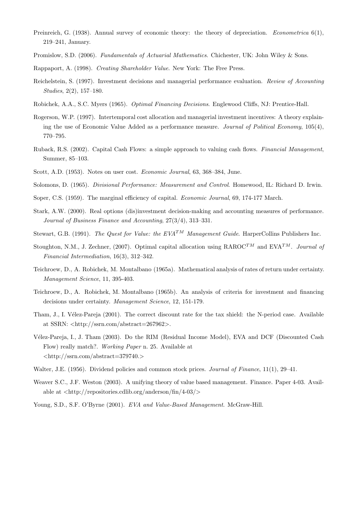- Preinreich, G. (1938). Annual survey of economic theory: the theory of depreciation. Econometrica 6(1), 219–241, January.
- Promislow, S.D. (2006). Fundamentals of Actuarial Mathematics. Chichester, UK: John Wiley & Sons.
- Rappaport, A. (1998). Creating Shareholder Value. New York: The Free Press.
- Reichelstein, S. (1997). Investment decisions and managerial performance evaluation. Review of Accounting Studies, 2(2), 157–180.
- Robichek, A.A., S.C. Myers (1965). Optimal Financing Decisions. Englewood Cliffs, NJ: Prentice-Hall.
- Rogerson, W.P. (1997). Intertemporal cost allocation and managerial investment incentives: A theory explaining the use of Economic Value Added as a performance measure. Journal of Political Economy, 105(4), 770–795.
- Ruback, R.S. (2002). Capital Cash Flows: a simple approach to valuing cash flows. Financial Management, Summer, 85–103.
- Scott, A.D. (1953). Notes on user cost. Economic Journal, 63, 368–384, June.
- Solomons, D. (1965). Divisional Performance: Measurement and Control. Homewood, IL: Richard D. Irwin.
- Soper, C.S. (1959). The marginal efficiency of capital. Economic Journal, 69, 174-177 March.
- Stark, A.W. (2000). Real options (dis)investment decision-making and accounting measures of performance. Journal of Business Finance and Accounting, 27(3/4), 313–331.
- Stewart, G.B. (1991). The Quest for Value: the  $EVA^{TM}$  Management Guide. HarperCollins Publishers Inc.
- Stoughton, N.M., J. Zechner, (2007). Optimal capital allocation using  $\mathrm{RAROC}^{TM}$  and  $\mathrm{EVA}^{TM}$ . Journal of Financial Intermediation, 16(3), 312–342.
- Teichroew, D., A. Robichek, M. Montalbano (1965a). Mathematical analysis of rates of return under certainty. Management Science, 11, 395-403.
- Teichroew, D., A. Robichek, M. Montalbano (1965b). An analysis of criteria for investment and financing decisions under certainty. Management Science, 12, 151-179.
- Tham, J., I. Vélez-Pareja (2001). The correct discount rate for the tax shield: the N-period case. Available at SSRN:  $\langle \text{http://ssrn.com/abstract=267962}\rangle$ .
- Vélez-Pareja, I., J. Tham (2003). Do the RIM (Residual Income Model), EVA and DCF (Discounted Cash Flow) really match?. Working Paper n. 25. Available at  $\langle$ http://ssrn.com/abstract=379740.>
- Walter, J.E. (1956). Dividend policies and common stock prices. Journal of Finance, 11(1), 29–41.
- Weaver S.C., J.F. Weston (2003). A unifying theory of value based management. Finance. Paper 4-03. Available at  $\langle \text{http://repositories.cdlib.org/anderson/fin/4-03/}\rangle$
- Young, S.D., S.F. O'Byrne (2001). EVA and Value-Based Management. McGraw-Hill.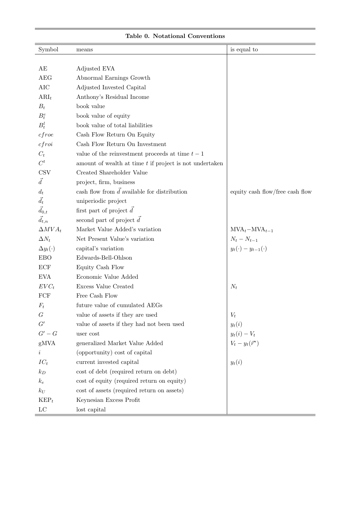| Symbol                      | means                                                     | is equal to                       |
|-----------------------------|-----------------------------------------------------------|-----------------------------------|
|                             |                                                           |                                   |
| AE                          | Adjusted EVA                                              |                                   |
| <b>AEG</b>                  | Abnormal Earnings Growth                                  |                                   |
| <b>AIC</b>                  | Adjusted Invested Capital                                 |                                   |
| $ARI_t$                     | Anthony's Residual Income                                 |                                   |
| $B_t$                       | book value                                                |                                   |
| $B_t^e$                     | book value of equity                                      |                                   |
| $B_t^l$                     | book value of total liabilities                           |                                   |
| cfroe                       | Cash Flow Return On Equity                                |                                   |
| cfroi                       | Cash Flow Return On Investment                            |                                   |
| $C_t$                       | value of the reinvestment proceeds at time $t-1$          |                                   |
| $C^t$                       | amount of wealth at time $t$ if project is not undertaken |                                   |
| $_{\mbox{\scriptsize CSV}}$ | Created Shareholder Value                                 |                                   |
| $\vec{d}$                   | project, firm, business                                   |                                   |
| $d_t$                       | cash flow from $\vec{d}$ available for distribution       | equity cash flow/free cash flow   |
| $\vec{d}_t$                 | uniperiodic project                                       |                                   |
| $\vec{d}_{0,t}$             | first part of project $\vec{d}$                           |                                   |
| $\vec{d}_{t,n}$             | second part of project $\vec{d}$                          |                                   |
| $\Delta MVA_t$              | Market Value Added's variation                            | $\text{MVA}_t - \text{MVA}_{t-1}$ |
| $\Delta N_t$                | Net Present Value's variation                             | $N_t - N_{t-1}$                   |
| $\Delta y_t(\cdot)$         | capital's variation                                       | $y_t(\cdot) - y_{t-1}(\cdot)$     |
| <b>EBO</b>                  | Edwards-Bell-Ohlson                                       |                                   |
| ECF                         | Equity Cash Flow                                          |                                   |
| <b>EVA</b>                  | Economic Value Added                                      |                                   |
| $EVC_t$                     | Excess Value Created                                      | $N_t$                             |
| FCF                         | Free Cash Flow                                            |                                   |
| $F_t$                       | future value of cumulated AEGs                            |                                   |
| G                           | value of assets if they are used                          | $V_t$                             |
| G'                          | value of assets if they had not been used                 | $y_t(i)$                          |
| $G'-G$                      | user cost                                                 | $y_t(i) - V_t$                    |
| gMVA                        | generalized Market Value Added                            | $V_t - y_t(\vec{r}^*)$            |
| $\dot{\imath}$              | (opportunity) cost of capital                             |                                   |
| $IC_t$                      | current invested capital                                  | $y_t(i)$                          |
| $k_D$                       | cost of debt (required return on debt)                    |                                   |
| $k_e$                       | cost of equity (required return on equity)                |                                   |
| $k_U$                       | cost of assets (required return on assets)                |                                   |
| $\text{KEP}_t$              | Keynesian Excess Profit                                   |                                   |
| $_{\rm LC}$                 | lost capital                                              |                                   |

#### Table 0. Notational Conventions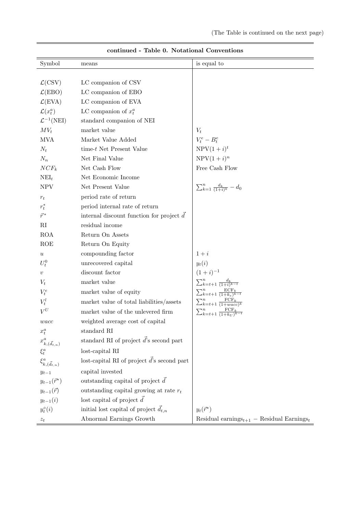| Symbol                         | means                                                       | is equal to                                          |
|--------------------------------|-------------------------------------------------------------|------------------------------------------------------|
|                                |                                                             |                                                      |
| $\mathcal{L}$ (CSV)            | LC companion of CSV                                         |                                                      |
| $\mathcal{L}(EBO)$             | LC companion of EBO                                         |                                                      |
| $\mathcal{L}(\text{EVA})$      | LC companion of EVA                                         |                                                      |
| $\mathcal{L}(x_t^a)$           | LC companion of $x_t^a$                                     |                                                      |
| $\mathcal{L}^{-1}(\text{NEI})$ | standard companion of NEI                                   |                                                      |
| $MV_t$                         | market value                                                | $V_t$                                                |
| <b>MVA</b>                     | Market Value Added                                          | $V_t^e-B_t^e$                                        |
| $N_t$                          | time-t Net Present Value                                    | $NPV(1+i)^t$                                         |
| $N_n$                          | Net Final Value                                             | $NPV(1+i)^n$                                         |
| $NCF_k$                        | Net Cash Flow                                               | Free Cash Flow                                       |
| $NEI_t$                        | Net Economic Income                                         |                                                      |
| <b>NPV</b>                     | Net Present Value                                           | $\sum_{k=1}^{n} \frac{d_k}{(1+i)^k} - d_0$           |
| $r_t$                          | period rate of return                                       |                                                      |
| $r_t^*$                        | period internal rate of return                              |                                                      |
| $\vec{r}^*$                    | internal discount function for project $\overrightarrow{d}$ |                                                      |
| RI                             | residual income                                             |                                                      |
| <b>ROA</b>                     | Return On Assets                                            |                                                      |
| $\rm{ROE}$                     | Return On Equity                                            |                                                      |
| $\boldsymbol{u}$               | compounding factor                                          | $1+i$                                                |
| $U_t^0$                        | unrecovered capital                                         | $y_t(i)$                                             |
| $\upsilon$                     | discount factor                                             | $(1+i)^{-1}$                                         |
| $V_t$                          | market value                                                | $\sum_{k=t+1}^{n} \frac{d_k}{(1+i)^{k-t}}$           |
| $V_t^e$                        | market value of equity                                      | $\sum_{k=t+1}^{n} \frac{\text{ECF}_k}{(1+k_e)^{k}}$  |
| $V_t^l$                        | market value of total liabilities/assets                    | $\sum_{k=t+1}^{n} \frac{\text{FCF}_k}{(1+wacc)^k}$   |
| $V^U$                          | market value of the unlevered firm                          | $\sum_{k=t+1}^{n} \frac{FCF}{(1+k_U)}$               |
| wacc                           | weighted average cost of capital                            |                                                      |
| $x_t^a$                        | standard RI                                                 |                                                      |
| $x_{k,(\vec{d}_{t,n})}^a$      | standard RI of project $\vec{d}$ 's second part             |                                                      |
| $\xi_t^a$                      | lost-capital RI                                             |                                                      |
| $\xi^a_{k,(\vec{d}_{t,n})}$    | lost-capital RI of project $\vec{d}$ 's second part         |                                                      |
| $y_{t-1}$                      | capital invested                                            |                                                      |
| $y_{t-1}(\vec{r}^*)$           | outstanding capital of project $\vec{d}$                    |                                                      |
| $y_{t-1}(\vec{r})$             | outstanding capital growing at rate $r_t$                   |                                                      |
| $y_{t-1}(i)$                   | lost capital of project $\vec{d}$                           |                                                      |
| $y_t^{\circ}(i)$               | initial lost capital of project $\vec{d}_{t,n}$             | $y_t(\vec{r}^*)$                                     |
| $\boldsymbol{z}_t$             | Abnormal Earnings Growth                                    | Residual earnings $t_{t+1}$ – Residual Earnings $_t$ |

continued - Table 0. Notational Conventions

 $\frac{1}{2}$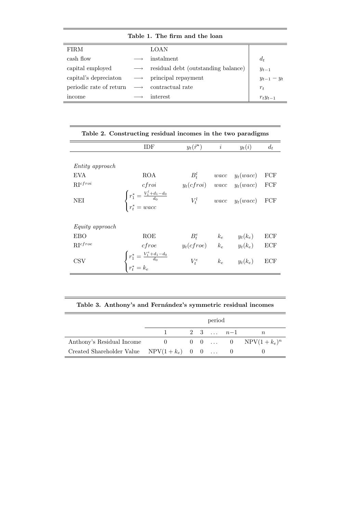#### Table 1. The firm and the loan

| <b>FIRM</b>             | LOAN                                |                 |
|-------------------------|-------------------------------------|-----------------|
| cash flow               | instalment                          | $d_t$           |
| capital employed        | residual debt (outstanding balance) | $y_{t-1}$       |
| capital's depreciation  | principal repayment                 | $y_{t-1} - y_t$ |
| periodic rate of return | contractual rate                    | $r_t$           |
| income                  | interest                            | $r_t y_{t-1}$   |

<u> 1980 - Andrea Station Andrea Station (m. 1980)</u>

L

Ī.

|                             | Table 2. Constructing residual incomes in the two paradigms                                             |                                                           |           |                          |       |  |  |  |  |  |  |
|-----------------------------|---------------------------------------------------------------------------------------------------------|-----------------------------------------------------------|-----------|--------------------------|-------|--|--|--|--|--|--|
|                             | IDF                                                                                                     | $y_t(\vec{r}^*)$                                          | $\dot{i}$ | $y_t(i)$                 | $d_t$ |  |  |  |  |  |  |
| Entity approach             |                                                                                                         |                                                           |           |                          |       |  |  |  |  |  |  |
| EVA                         | <b>ROA</b>                                                                                              | $B_t^l$                                                   |           | $wacc \quad y_t(wacc)$   | FCF   |  |  |  |  |  |  |
| $RI^{cfroi}$                | c f roi                                                                                                 | $y_t(cfroi)$ wacc $y_t(wacc)$ FCF                         |           |                          |       |  |  |  |  |  |  |
| NEI                         | $\left\{ \begin{aligned} r_1^* &= \frac{V_1^l + d_1 - d_0}{d_0} \\ r_t^* &= wacc \end{aligned} \right.$ |                                                           |           | $V_t^l$ wacc $y_t(wacc)$ | FCF   |  |  |  |  |  |  |
| Equity approach             |                                                                                                         |                                                           |           |                          |       |  |  |  |  |  |  |
| <b>EBO</b>                  | <b>ROE</b>                                                                                              |                                                           |           |                          | ECF   |  |  |  |  |  |  |
| $\mathbf{R} \Gamma^{cfree}$ | cfree                                                                                                   | $B_t^e$ $k_e$ $y_t(k_e)$<br>$y_t(cfroe)$ $k_e$ $y_t(k_e)$ |           |                          | ECF   |  |  |  |  |  |  |
| $\rm{CSV}$                  | $\begin{cases} r_1^* = \frac{V_1^e + d_1 - d_0}{d_0} \\ r_t^* = k_e \end{cases}$                        | $V_t^e$                                                   | $k_e$     | $y_t(k_e)$               | ECF   |  |  |  |  |  |  |

#### Table 3. Anthony's and Fernández's symmetric residual incomes

|                                                 | period |  |  |  |           |                           |  |  |  |
|-------------------------------------------------|--------|--|--|--|-----------|---------------------------|--|--|--|
|                                                 |        |  |  |  | 2 3 $n-1$ |                           |  |  |  |
| Anthony's Residual Income                       |        |  |  |  |           | 0 0 0  0 $NPV(1 + k_e)^n$ |  |  |  |
| Created Shareholder Value $NPV(1 + k_e)$ 0 0  0 |        |  |  |  |           |                           |  |  |  |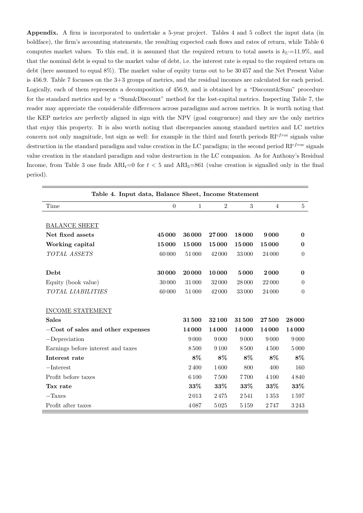Appendix. A firm is incorporated to undertake a 5-year project. Tables 4 and 5 collect the input data (in boldface), the firm's accounting statements, the resulting expected cash flows and rates of return, while Table 6 computes market values. To this end, it is assumed that the required return to total assets is  $k_U = 11.9\%$ , and that the nominal debt is equal to the market value of debt, i.e. the interest rate is equal to the required return on debt (here assumed to equal 8%). The market value of equity turns out to be 30 457 and the Net Present Value is 456.9. Table 7 focusses on the 3+3 groups of metrics, and the residual incomes are calculated for each period. Logically, each of them represents a decomposition of 456.9, and is obtained by a "Discount&Sum" procedure for the standard metrics and by a "Sum&Discount" method for the lost-capital metrics. Inspecting Table 7, the reader may appreciate the considerable differences across paradigms and across metrics. It is worth noting that the KEP metrics are perfectly aligned in sign with the NPV (goal congruence) and they are the only metrics that enjoy this property. It is also worth noting that discrepancies among standard metrics and LC metrics concern not only magnitude, but sign as well: for example in the third and fourth periods  $RI^{cfroi}$  signals value destruction in the standard paradigm and value creation in the LC paradigm; in the second period  $R1^{cf}$  roe signals value creation in the standard paradigm and value destruction in the LC companion. As for Anthony's Residual Income, from Table 3 one finds  $ARI_t=0$  for  $t < 5$  and  $ARI_5=861$  (value creation is signalled only in the final period).

| Table 4. Input data, Balance Sheet, Income Statement |                |              |                |        |                |          |  |  |  |
|------------------------------------------------------|----------------|--------------|----------------|--------|----------------|----------|--|--|--|
| Time                                                 | $\overline{0}$ | $\mathbf{1}$ | $\overline{2}$ | 3      | $\overline{4}$ | 5        |  |  |  |
|                                                      |                |              |                |        |                |          |  |  |  |
| <b>BALANCE SHEET</b>                                 |                |              |                |        |                |          |  |  |  |
| Net fixed assets                                     | 45000          | 36 000       | 27000          | 18000  | 9000           | $\bf{0}$ |  |  |  |
| Working capital                                      | 15000          | 15000        | 15000          | 15000  | 15000          | $\bf{0}$ |  |  |  |
| TOTAL ASSETS                                         | 60000          | 51000        | 42000          | 33000  | 24 000         | $\theta$ |  |  |  |
|                                                      |                |              |                |        |                |          |  |  |  |
| Debt                                                 | 30000          | 20 000       | 10000          | 5000   | 2000           | $\bf{0}$ |  |  |  |
| Equity (book value)                                  | 30 000         | 31000        | 32000          | 28 000 | 22000          | $\theta$ |  |  |  |
| TOTAL LIABILITIES                                    | 60000          | 51000        | 42000          | 33000  | 24 000         | $\theta$ |  |  |  |
|                                                      |                |              |                |        |                |          |  |  |  |
| <b>INCOME STATEMENT</b>                              |                |              |                |        |                |          |  |  |  |
| <b>Sales</b>                                         |                | 31500        | 32100          | 31500  | 27500          | 28 000   |  |  |  |
| $-Cost$ of sales and other expenses                  |                | 14000        | 14000          | 14000  | 14000          | 14000    |  |  |  |
| $-Depreciation$                                      |                | 9000         | 9000           | 9000   | 9000           | 9000     |  |  |  |
| Earnings before interest and taxes                   |                | 8500         | 9 1 0 0        | 8500   | 4500           | 5000     |  |  |  |
| Interest rate                                        |                | 8%           | $8\%$          | 8%     | 8%             | 8%       |  |  |  |
| $-$ Interest                                         |                | 2400         | 1600           | 800    | 400            | 160      |  |  |  |
| Profit before taxes                                  |                | 6 100        | 7500           | 7700   | 4 1 0 0        | 4840     |  |  |  |
| Tax rate                                             |                | 33%          | 33\%           | 33%    | 33%            | 33\%     |  |  |  |
| $-Taxes$                                             |                | 2013         | 2475           | 2541   | 1353           | 1597     |  |  |  |
| Profit after taxes                                   |                | 4087         | 5025           | 5159   | 2747           | 3243     |  |  |  |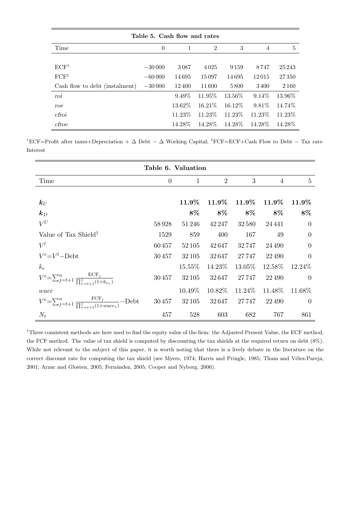| Table 5. Cash flow and rates   |          |              |                |           |          |         |  |  |  |  |
|--------------------------------|----------|--------------|----------------|-----------|----------|---------|--|--|--|--|
| Time                           | $\theta$ | $\mathbf{1}$ | $\overline{2}$ | 3         | 4        | 5       |  |  |  |  |
|                                |          |              |                |           |          |         |  |  |  |  |
| $ECF^{\dagger}$                | $-30000$ | 3087         | 4025           | 9 1 5 9   | 8747     | 25 243  |  |  |  |  |
| $FCF^{\ddagger}$               | $-60000$ | 14695        | 15097          | 14695     | 12015    | 27350   |  |  |  |  |
| Cash flow to debt (instalment) | $-30000$ | 12400        | 11600          | 5800      | 3400     | 2 1 6 0 |  |  |  |  |
| roi                            |          | $9.49\%$     | 11.95%         | 13.56%    | $9.14\%$ | 13.96\% |  |  |  |  |
| roe                            |          | 13.62\%      | 16.21\%        | $16.12\%$ | $9.81\%$ | 14.74%  |  |  |  |  |
| cfroi                          |          | 11.23\%      | 11.23\%        | 11.23\%   | 11.23\%  | 11.23\% |  |  |  |  |
| cfroe                          |          | 14.28\%      | 14.28\%        | 14.28\%   | 14.28\%  | 14.28%  |  |  |  |  |

†ECF=Profit after taxes+Depreciation +  $\Delta$  Debt –  $\Delta$  Working Capital; <sup>‡</sup>FCF=ECF+Cash Flow to Debt – Tax rate· Interest

|                                                                                       | Table 6. Valuation |           |                |         |          |                |
|---------------------------------------------------------------------------------------|--------------------|-----------|----------------|---------|----------|----------------|
| Time                                                                                  | $\theta$           | 1         | $\overline{2}$ | 3       | 4        | $\overline{5}$ |
|                                                                                       |                    |           |                |         |          |                |
| $\bm{k}_U$                                                                            |                    | $11.9\%$  | $11.9\%$       | 11.9%   | $11.9\%$ | 11.9%          |
| $\mathbf{k}_D$                                                                        |                    | 8\%       | $8\%$          | $8\%$   | 8%       | 8%             |
| $V^U$                                                                                 | 58928              | 51246     | 42 247         | 32580   | 24441    | $\overline{0}$ |
| Value of Tax Shield <sup>†</sup>                                                      | 1529               | 859       | 400            | 167     | 49       | $\Omega$       |
| $V^l$                                                                                 | 60457              | 52 105    | 42 647         | 32747   | 24 4 9 0 | $\Omega$       |
| $V^e = V^l - \mathrm{Debt}$                                                           | 30457              | 32 105    | 32647          | 27747   | 22490    | $\overline{0}$ |
| $k_e$                                                                                 |                    | $15.55\%$ | $14.23\%$      | 13.05%  | 12.58\%  | 12.24\%        |
| $V^e = \sum_{j=t+1}^n \frac{ECF_j}{\prod_{i=t+1}^j (1+k_{e-})}$                       | 30457              | 32 105    | 32647          | 27747   | 22490    | $\Omega$       |
| wacc                                                                                  |                    | $10.49\%$ | $10.82\%$      | 11.24\% | 11.48%   | 11.68%         |
| $V^e = \sum_{j=t+1}^n \frac{FCF_j}{\prod_{\tau=t+1}^j (1 + wacc_\tau)} - \text{Debt}$ | 30457              | 32 105    | 32647          | 27747   | 22490    | $\Omega$       |
| $N_t$                                                                                 | 457                | 528       | 603            | 682     | 767      | 861            |

†Three consistent methods are here used to find the equity value of the firm: the Adjusted Present Value, the ECF method, the FCF method. The value of tax shield is computed by discounting the tax shields at the required return on debt (8%). While not relevant to the subject of this paper, it is worth noting that there is a lively debate in the literature on the correct discount rate for computing the tax shield (see Myers, 1974; Harris and Pringle, 1985; Tham and Vélez-Pareja, 2001; Arzac and Glosten, 2005; Fernández, 2005; Cooper and Nyborg, 2006).